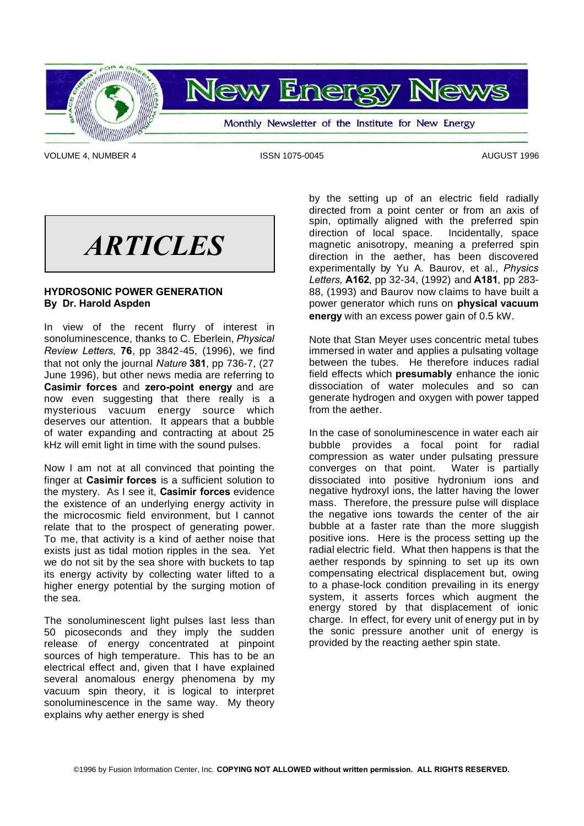



Monthly Newsletter of the Institute for New Energy

VOLUME 4, NUMBER 4 **ISSN 1075-0045** AUGUST 1996

*ARTICLES*

# **HYDROSONIC POWER GENERATION By Dr. Harold Aspden**

In view of the recent flurry of interest in sonoluminescence, thanks to C. Eberlein, *Physical Review Letters*, **76**, pp 3842-45, (1996), we find that not only the journal *Nature* **381**, pp 736-7, (27 June 1996), but other news media are referring to **Casimir forces** and **zero-point energy** and are now even suggesting that there really is a mysterious vacuum energy source which deserves our attention. It appears that a bubble of water expanding and contracting at about 25 kHz will emit light in time with the sound pulses.

Now I am not at all convinced that pointing the finger at **Casimir forces** is a sufficient solution to the mystery. As I see it, **Casimir forces** evidence the existence of an underlying energy activity in the microcosmic field environment, but I cannot relate that to the prospect of generating power. To me, that activity is a kind of aether noise that exists just as tidal motion ripples in the sea. Yet we do not sit by the sea shore with buckets to tap its energy activity by collecting water lifted to a higher energy potential by the surging motion of the sea.

The sonoluminescent light pulses last less than 50 picoseconds and they imply the sudden release of energy concentrated at pinpoint sources of high temperature. This has to be an electrical effect and, given that I have explained several anomalous energy phenomena by my vacuum spin theory, it is logical to interpret sonoluminescence in the same way. My theory explains why aether energy is shed

by the setting up of an electric field radially directed from a point center or from an axis of spin, optimally aligned with the preferred spin direction of local space. Incidentally, space magnetic anisotropy, meaning a preferred spin direction in the aether, has been discovered experimentally by Yu A. Baurov, et al., *Physics Letters*, **A162**, pp 32-34, (1992) and **A181**, pp 283- 88, (1993) and Baurov now claims to have built a power generator which runs on **physical vacuum energy** with an excess power gain of 0.5 kW.

Note that Stan Meyer uses concentric metal tubes immersed in water and applies a pulsating voltage between the tubes. He therefore induces radial field effects which **presumably** enhance the ionic dissociation of water molecules and so can generate hydrogen and oxygen with power tapped from the aether.

In the case of sonoluminescence in water each air bubble provides a focal point for radial compression as water under pulsating pressure converges on that point. Water is partially dissociated into positive hydronium ions and negative hydroxyl ions, the latter having the lower mass. Therefore, the pressure pulse will displace the negative ions towards the center of the air bubble at a faster rate than the more sluggish positive ions. Here is the process setting up the radial electric field. What then happens is that the aether responds by spinning to set up its own compensating electrical displacement but, owing to a phase-lock condition prevailing in its energy system, it asserts forces which augment the energy stored by that displacement of ionic charge. In effect, for every unit of energy put in by the sonic pressure another unit of energy is provided by the reacting aether spin state.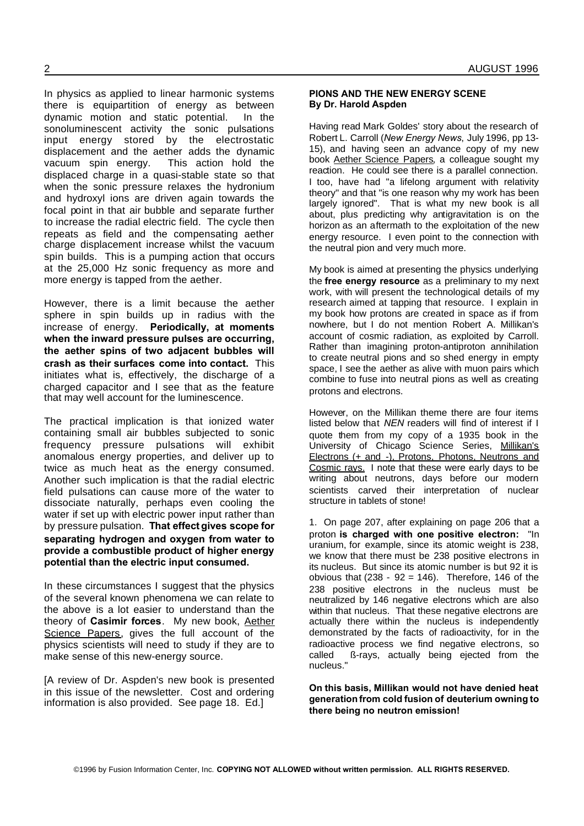Having read Mark Goldes' story about the research of Robert L. Carroll (*New Energy News*, July 1996, pp 13- 15), and having seen an advance copy of my new book Aether Science Papers, a colleague sought my reaction. He could see there is a parallel connection. I too, have had "a lifelong argument with relativity theory" and that "is one reason why my work has been largely ignored". That is what my new book is all about, plus predicting why antigravitation is on the horizon as an aftermath to the exploitation of the new energy resource. I even point to the connection with the neutral pion and very much more.

My book is aimed at presenting the physics underlying the **free energy resource** as a preliminary to my next work, with will present the technological details of my research aimed at tapping that resource. I explain in my book how protons are created in space as if from nowhere, but I do not mention Robert A. Millikan's account of cosmic radiation, as exploited by Carroll. Rather than imagining proton-antiproton annihilation to create neutral pions and so shed energy in empty space, I see the aether as alive with muon pairs which combine to fuse into neutral pions as well as creating protons and electrons.

However, on the Millikan theme there are four items listed below that *NEN* readers will find of interest if I quote them from my copy of a 1935 book in the University of Chicago Science Series, Millikan's Electrons (+ and -), Protons, Photons, Neutrons and Cosmic rays. I note that these were early days to be writing about neutrons, days before our modern scientists carved their interpretation of nuclear structure in tablets of stone!

1. On page 207, after explaining on page 206 that a proton **is charged with one positive electron:** "In uranium, for example, since its atomic weight is 238, we know that there must be 238 positive electrons in its nucleus. But since its atomic number is but 92 it is obvious that  $(238 - 92 = 146)$ . Therefore, 146 of the 238 positive electrons in the nucleus must be neutralized by 146 negative electrons which are also within that nucleus. That these negative electrons are actually there within the nucleus is independently demonstrated by the facts of radioactivity, for in the radioactive process we find negative electrons, so called ß-rays, actually being ejected from the nucleus."

**On this basis, Millikan would not have denied heat generationfrom cold fusion of deuterium owning to there being no neutron emission!**

spin builds. This is a pumping action that occurs at the 25,000 Hz sonic frequency as more and more energy is tapped from the aether. However, there is a limit because the aether sphere in spin builds up in radius with the increase of energy. **Periodically, at moments when the inward pressure pulses are occurring, the aether spins of two adjacent bubbles will crash as their surfaces come into contact.** This initiates what is, effectively, the discharge of a

charged capacitor and I see that as the feature that may well account for the luminescence.

In physics as applied to linear harmonic systems there is equipartition of energy as between dynamic motion and static potential. In the sonoluminescent activity the sonic pulsations input energy stored by the electrostatic displacement and the aether adds the dynamic vacuum spin energy. This action hold the displaced charge in a quasi-stable state so that when the sonic pressure relaxes the hydronium and hydroxyl ions are driven again towards the focal point in that air bubble and separate further to increase the radial electric field. The cycle then repeats as field and the compensating aether charge displacement increase whilst the vacuum

The practical implication is that ionized water containing small air bubbles subjected to sonic frequency pressure pulsations will exhibit anomalous energy properties, and deliver up to twice as much heat as the energy consumed. Another such implication is that the radial electric field pulsations can cause more of the water to dissociate naturally, perhaps even cooling the water if set up with electric power input rather than by pressure pulsation. **That effect gives scope for separating hydrogen and oxygen from water to provide a combustible product of higher energy potential than the electric input consumed.**

In these circumstances I suggest that the physics of the several known phenomena we can relate to the above is a lot easier to understand than the theory of **Casimir forces**. My new book, Aether Science Papers, gives the full account of the physics scientists will need to study if they are to make sense of this new-energy source.

[A review of Dr. Aspden's new book is presented in this issue of the newsletter. Cost and ordering information is also provided. See page 18. Ed.]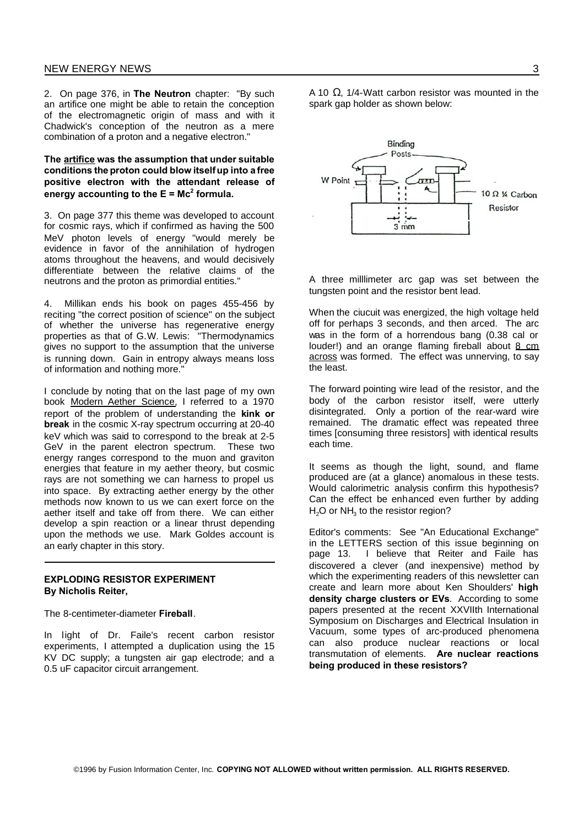2. On page 376, in **The Neutron** chapter: "By such an artifice one might be able to retain the conception of the electromagnetic origin of mass and with it Chadwick's conception of the neutron as a mere combination of a proton and a negative electron."

**The artifice was the assumption that under suitable conditions the proton could blow itselfup into a free positive electron with the attendant release of energy accounting to the E = Mc<sup>2</sup> formula.**

3. On page 377 this theme was developed to account for cosmic rays, which if confirmed as having the 500 MeV photon levels of energy "would merely be evidence in favor of the annihilation of hydrogen atoms throughout the heavens, and would decisively differentiate between the relative claims of the neutrons and the proton as primordial entities."

4. Millikan ends his book on pages 455-456 by reciting "the correct position of science" on the subject of whether the universe has regenerative energy properties as that of G.W. Lewis: "Thermodynamics gives no support to the assumption that the universe is running down. Gain in entropy always means loss of information and nothing more."

I conclude by noting that on the last page of my own book Modern Aether Science, I referred to a 1970 report of the problem of understanding the **kink or break** in the cosmic X-ray spectrum occurring at 20-40 keV which was said to correspond to the break at 2-5 GeV in the parent electron spectrum. These two energy ranges correspond to the muon and graviton energies that feature in my aether theory, but cosmic rays are not something we can harness to propel us into space. By extracting aether energy by the other methods now known to us we can exert force on the aether itself and take off from there. We can either develop a spin reaction or a linear thrust depending upon the methods we use. Mark Goldes account is an early chapter in this story.

# **EXPLODING RESISTOR EXPERIMENT By Nicholis Reiter,**

The 8-centimeter-diameter **Fireball**.

In light of Dr. Faile's recent carbon resistor experiments, I attempted a duplication using the 15 KV DC supply; a tungsten air gap electrode; and a 0.5 uF capacitor circuit arrangement.

©1996 by Fusion Information Center, Inc. **COPYING NOT ALLOWED without written permission. ALL RIGHTS RESERVED.**

A 10  $\Omega$ , 1/4-Watt carbon resistor was mounted in the spark gap holder as shown below:



A three milllimeter arc gap was set between the tungsten point and the resistor bent lead.

When the ciucuit was energized, the high voltage held off for perhaps 3 seconds, and then arced. The arc was in the form of a horrendous bang (0.38 cal or louder!) and an orange flaming fireball about 8 cm across was formed. The effect was unnerving, to say the least.

The forward pointing wire lead of the resistor, and the body of the carbon resistor itself, were utterly disintegrated. Only a portion of the rear-ward wire remained. The dramatic effect was repeated three times [consuming three resistors] with identical results each time.

It seems as though the light, sound, and flame produced are (at a glance) anomalous in these tests. Would calorimetric analysis confirm this hypothesis? Can the effect be enhanced even further by adding  $H<sub>2</sub>O$  or NH $<sub>3</sub>$  to the resistor region?</sub>

Editor's comments: See "An Educational Exchange" in the LETTERS section of this issue beginning on page 13. I believe that Reiter and Faile has discovered a clever (and inexpensive) method by which the experimenting readers of this newsletter can create and learn more about Ken Shoulders' **high density charge clusters or EVs**. According to some papers presented at the recent XXVIIth International Symposium on Discharges and Electrical Insulation in Vacuum, some types of arc-produced phenomena can also produce nuclear reactions or local transmutation of elements. **Are nuclear reactions being produced in these resistors?**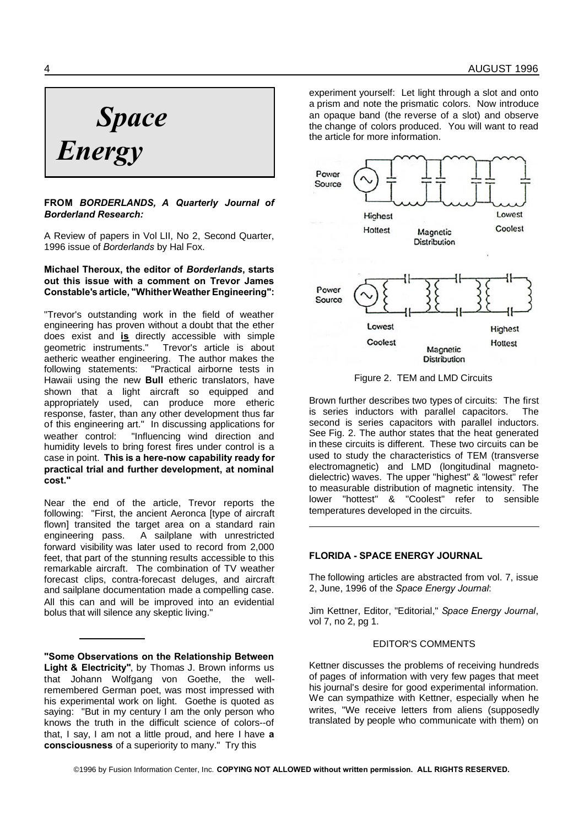# *Space Energy*

# **FROM** *BORDERLANDS, A Quarterly Journal of Borderland Research:*

A Review of papers in Vol LII, No 2, Second Quarter, 1996 issue of *Borderlands* by Hal Fox.

# **Michael Theroux, the editor of** *Borderlands***, starts out this issue with a comment on Trevor James Constable's article, "WhitherWeather Engineering":**

"Trevor's outstanding work in the field of weather engineering has proven without a doubt that the ether does exist and **is** directly accessible with simple geometric instruments." Trevor's article is about aetheric weather engineering. The author makes the following statements: "Practical airborne tests in Hawaii using the new **Bull** etheric translators, have shown that a light aircraft so equipped and appropriately used, can produce more etheric response, faster, than any other development thus far of this engineering art." In discussing applications for weather control: "Influencing wind direction and humidity levels to bring forest fires under control is a case in point. **This is a here-now capability ready for practical trial and further development, at nominal cost."**

Near the end of the article, Trevor reports the following: "First, the ancient Aeronca [type of aircraft flown] transited the target area on a standard rain engineering pass. A sailplane with unrestricted forward visibility was later used to record from 2,000 feet, that part of the stunning results accessible to this remarkable aircraft. The combination of TV weather forecast clips, contra-forecast deluges, and aircraft and sailplane documentation made a compelling case. All this can and will be improved into an evidential bolus that will silence any skeptic living."

**"Some Observations on the Relationship Between Light & Electricity"**, by Thomas J. Brown informs us that Johann Wolfgang von Goethe, the wellremembered German poet, was most impressed with his experimental work on light. Goethe is quoted as saying: "But in my century I am the only person who knows the truth in the difficult science of colors--of that, I say, I am not a little proud, and here I have **a consciousness** of a superiority to many." Try this

experiment yourself: Let light through a slot and onto a prism and note the prismatic colors. Now introduce an opaque band (the reverse of a slot) and observe the change of colors produced. You will want to read the article for more information.



Figure 2. TEM and LMD Circuits

Brown further describes two types of circuits: The first is series inductors with parallel capacitors. The second is series capacitors with parallel inductors. See Fig. 2. The author states that the heat generated in these circuits is different. These two circuits can be used to study the characteristics of TEM (transverse electromagnetic) and LMD (longitudinal magnetodielectric) waves. The upper "highest" & "lowest" refer to measurable distribution of magnetic intensity. The lower "hottest" & "Coolest" refer to sensible temperatures developed in the circuits.

# **FLORIDA - SPACE ENERGY JOURNAL**

The following articles are abstracted from vol. 7, issue 2, June, 1996 of the *Space Energy Journal*:

Jim Kettner, Editor, "Editorial," *Space Energy Journal*, vol 7, no 2, pg 1.

#### EDITOR'S COMMENTS

Kettner discusses the problems of receiving hundreds of pages of information with very few pages that meet his journal's desire for good experimental information. We can sympathize with Kettner, especially when he writes, "We receive letters from aliens (supposedly translated by people who communicate with them) on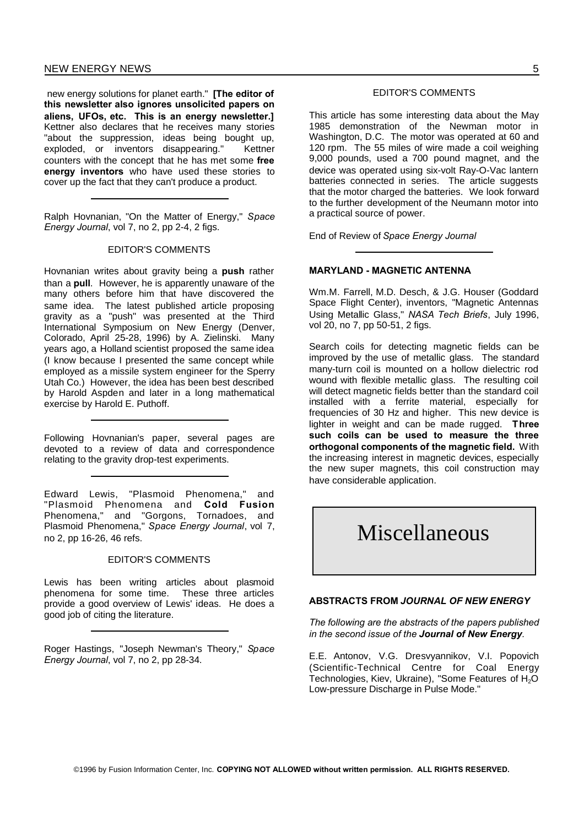new energy solutions for planet earth." **[The editor of this newsletter also ignores unsolicited papers on aliens, UFOs, etc. This is an energy newsletter.]** Kettner also declares that he receives many stories "about the suppression, ideas being bought up, exploded, or inventors disappearing." Kettner counters with the concept that he has met some **free energy inventors** who have used these stories to cover up the fact that they can't produce a product.

Ralph Hovnanian, "On the Matter of Energy," *Space Energy Journal*, vol 7, no 2, pp 2-4, 2 figs.

#### EDITOR'S COMMENTS

Hovnanian writes about gravity being a **push** rather than a **pull**. However, he is apparently unaware of the many others before him that have discovered the same idea. The latest published article proposing gravity as a "push" was presented at the Third International Symposium on New Energy (Denver, Colorado, April 25-28, 1996) by A. Zielinski. Many years ago, a Holland scientist proposed the same idea (I know because I presented the same concept while employed as a missile system engineer for the Sperry Utah Co.) However, the idea has been best described by Harold Aspden and later in a long mathematical exercise by Harold E. Puthoff.

Following Hovnanian's paper, several pages are devoted to a review of data and correspondence relating to the gravity drop-test experiments.

Edward Lewis, "Plasmoid Phenomena," and "Plasmoid Phenomena and **Cold Fusion** Phenomena," and "Gorgons, Tornadoes, and Plasmoid Phenomena," *Space Energy Journal*, vol 7, no 2, pp 16-26, 46 refs.

#### EDITOR'S COMMENTS

Lewis has been writing articles about plasmoid phenomena for some time. These three articles provide a good overview of Lewis' ideas. He does a good job of citing the literature.

Roger Hastings, "Joseph Newman's Theory," *Space Energy Journal*, vol 7, no 2, pp 28-34.

# EDITOR'S COMMENTS

This article has some interesting data about the May 1985 demonstration of the Newman motor in Washington, D.C. The motor was operated at 60 and 120 rpm. The 55 miles of wire made a coil weighing 9,000 pounds, used a 700 pound magnet, and the device was operated using six-volt Ray-O-Vac lantern batteries connected in series. The article suggests that the motor charged the batteries. We look forward to the further development of the Neumann motor into a practical source of power.

End of Review of *Space Energy Journal*

#### **MARYLAND - MAGNETIC ANTENNA**

Wm.M. Farrell, M.D. Desch, & J.G. Houser (Goddard Space Flight Center), inventors, "Magnetic Antennas Using Metallic Glass," *NASA Tech Briefs*, July 1996, vol 20, no 7, pp 50-51, 2 figs.

Search coils for detecting magnetic fields can be improved by the use of metallic glass. The standard many-turn coil is mounted on a hollow dielectric rod wound with flexible metallic glass. The resulting coil will detect magnetic fields better than the standard coil installed with a ferrite material, especially for frequencies of 30 Hz and higher. This new device is lighter in weight and can be made rugged. **Three such coils can be used to measure the three orthogonal components of the magnetic field.** With the increasing interest in magnetic devices, especially the new super magnets, this coil construction may have considerable application.

# Miscellaneous

#### **ABSTRACTS FROM** *JOURNAL OF NEW ENERGY*

*The following are the abstracts of the papers published in the second issue of the Journal of New Energy.*

E.E. Antonov, V.G. Dresvyannikov, V.I. Popovich (Scientific-Technical Centre for Coal Energy Technologies, Kiev, Ukraine), "Some Features of H<sub>2</sub>O Low-pressure Discharge in Pulse Mode."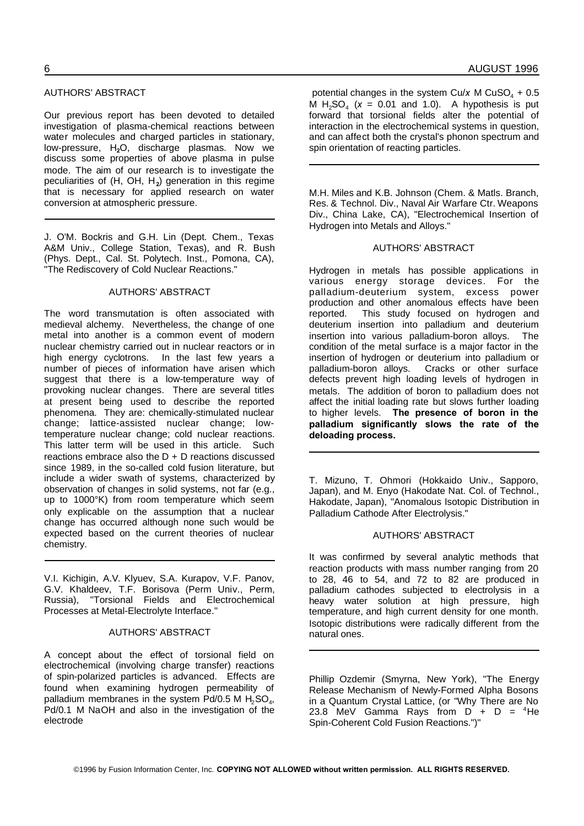# AUTHORS' ABSTRACT

Our previous report has been devoted to detailed investigation of plasma-chemical reactions between water molecules and charged particles in stationary, low-pressure, H**2**O, discharge plasmas. Now we discuss some properties of above plasma in pulse mode. The aim of our research is to investigate the peculiarities of (H, OH, H**<sup>2</sup>** ) generation in this regime that is necessary for applied research on water conversion at atmospheric pressure.

J. O'M. Bockris and G.H. Lin (Dept. Chem., Texas A&M Univ., College Station, Texas), and R. Bush (Phys. Dept., Cal. St. Polytech. Inst., Pomona, CA), "The Rediscovery of Cold Nuclear Reactions."

#### AUTHORS' ABSTRACT

The word transmutation is often associated with medieval alchemy. Nevertheless, the change of one metal into another is a common event of modern nuclear chemistry carried out in nuclear reactors or in high energy cyclotrons. In the last few years a number of pieces of information have arisen which suggest that there is a low-temperature way of provoking nuclear changes. There are several titles at present being used to describe the reported phenomena. They are: chemically-stimulated nuclear change; lattice-assisted nuclear change; lowtemperature nuclear change; cold nuclear reactions. This latter term will be used in this article. Such reactions embrace also the  $D + D$  reactions discussed since 1989, in the so-called cold fusion literature, but include a wider swath of systems, characterized by observation of changes in solid systems, not far (e.g., up to 1000°K) from room temperature which seem only explicable on the assumption that a nuclear change has occurred although none such would be expected based on the current theories of nuclear chemistry.

V.I. Kichigin, A.V. Klyuev, S.A. Kurapov, V.F. Panov, G.V. Khaldeev, T.F. Borisova (Perm Univ., Perm, Russia), "Torsional Fields and Electrochemical Processes at Metal-Electrolyte Interface."

#### AUTHORS' ABSTRACT

A concept about the effect of torsional field on electrochemical (involving charge transfer) reactions of spin-polarized particles is advanced. Effects are found when examining hydrogen permeability of palladium membranes in the system Pd/0.5 M  $H_2$ SO<sub>4</sub>, Pd/0.1 M NaOH and also in the investigation of the electrode

potential changes in the system Cu/ $x$  M CuSO<sub>4</sub> + 0.5 M  $H_2SO_4$  ( $x = 0.01$  and 1.0). A hypothesis is put forward that torsional fields alter the potential of interaction in the electrochemical systems in question, and can affect both the crystal's phonon spectrum and spin orientation of reacting particles.

M.H. Miles and K.B. Johnson (Chem. & Matls. Branch, Res. & Technol. Div., Naval Air Warfare Ctr. Weapons Div., China Lake, CA), "Electrochemical Insertion of Hydrogen into Metals and Alloys."

#### AUTHORS' ABSTRACT

Hydrogen in metals has possible applications in various energy storage devices. For the palladium-deuterium system, excess power production and other anomalous effects have been reported. This study focused on hydrogen and deuterium insertion into palladium and deuterium insertion into various palladium-boron alloys. The condition of the metal surface is a major factor in the insertion of hydrogen or deuterium into palladium or palladium-boron alloys. Cracks or other surface defects prevent high loading levels of hydrogen in metals. The addition of boron to palladium does not affect the initial loading rate but slows further loading to higher levels. **The presence of boron in the palladium significantly slows the rate of the deloading process.**

T. Mizuno, T. Ohmori (Hokkaido Univ., Sapporo, Japan), and M. Enyo (Hakodate Nat. Col. of Technol., Hakodate, Japan), "Anomalous Isotopic Distribution in Palladium Cathode After Electrolysis."

# AUTHORS' ABSTRACT

It was confirmed by several analytic methods that reaction products with mass number ranging from 20 to 28, 46 to 54, and 72 to 82 are produced in palladium cathodes subjected to electrolysis in a heavy water solution at high pressure, high temperature, and high current density for one month. Isotopic distributions were radically different from the natural ones.

Phillip Ozdemir (Smyrna, New York), "The Energy Release Mechanism of Newly-Formed Alpha Bosons in a Quantum Crystal Lattice, (or "Why There are No 23.8 MeV Gamma Rays from  $\overrightarrow{D}$  + D = <sup>4</sup>He Spin-Coherent Cold Fusion Reactions.")"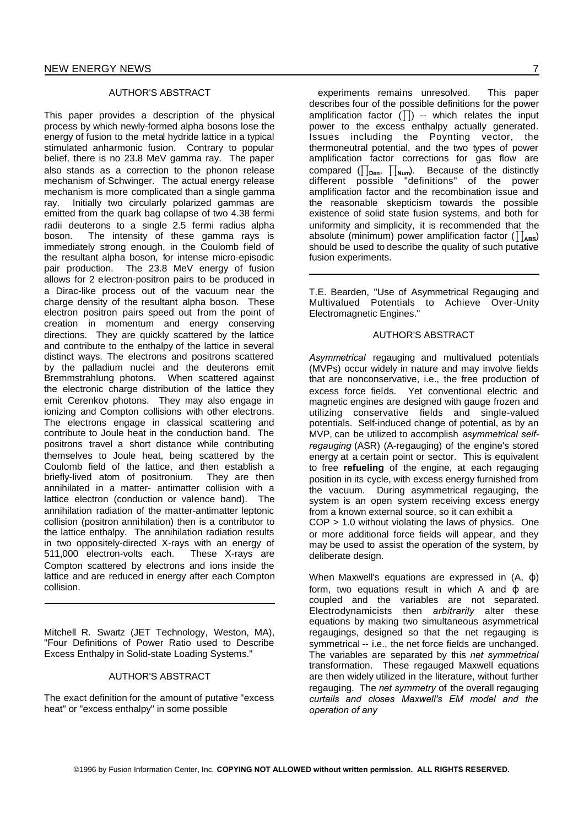#### AUTHOR'S ABSTRACT

This paper provides a description of the physical process by which newly-formed alpha bosons lose the energy of fusion to the metal hydride lattice in a typical stimulated anharmonic fusion. Contrary to popular belief, there is no 23.8 MeV gamma ray. The paper also stands as a correction to the phonon release mechanism of Schwinger. The actual energy release mechanism is more complicated than a single gamma ray. Initially two circularly polarized gammas are emitted from the quark bag collapse of two 4.38 fermi radii deuterons to a single 2.5 fermi radius alpha boson. The intensity of these gamma rays is immediately strong enough, in the Coulomb field of the resultant alpha boson, for intense micro-episodic pair production. The 23.8 MeV energy of fusion allows for 2 electron-positron pairs to be produced in a Dirac-like process out of the vacuum near the charge density of the resultant alpha boson. These electron positron pairs speed out from the point of creation in momentum and energy conserving directions. They are quickly scattered by the lattice and contribute to the enthalpy of the lattice in several distinct ways. The electrons and positrons scattered by the palladium nuclei and the deuterons emit Bremmstrahlung photons. When scattered against the electronic charge distribution of the lattice they emit Cerenkov photons. They may also engage in ionizing and Compton collisions with other electrons. The electrons engage in classical scattering and contribute to Joule heat in the conduction band. The positrons travel a short distance while contributing themselves to Joule heat, being scattered by the Coulomb field of the lattice, and then establish a briefly-lived atom of positronium. They are then annihilated in a matter- antimatter collision with a lattice electron (conduction or valence band). The annihilation radiation of the matter-antimatter leptonic collision (positron annihilation) then is a contributor to the lattice enthalpy. The annihilation radiation results in two oppositely-directed X-rays with an energy of 511,000 electron-volts each. These X-rays are Compton scattered by electrons and ions inside the lattice and are reduced in energy after each Compton collision.

Mitchell R. Swartz (JET Technology, Weston, MA), "Four Definitions of Power Ratio used to Describe Excess Enthalpy in Solid-state Loading Systems."

# AUTHOR'S ABSTRACT

The exact definition for the amount of putative "excess heat" or "excess enthalpy" in some possible

experiments remains unresolved. This paper describes four of the possible definitions for the power amplification factor  $(\prod)$  -- which relates the input power to the excess enthalpy actually generated. Issues including the Poynting vector, the thermoneutral potential, and the two types of power amplification factor corrections for gas flow are compared ( $\prod_{\text{Den}}$ ,  $\prod_{\text{Num}}$ ). Because of the distinctly different possible "definitions" of the power amplification factor and the recombination issue and the reasonable skepticism towards the possible existence of solid state fusion systems, and both for uniformity and simplicity, it is recommended that the absolute (minimum) power amplification factor  $(\prod_{\mathbf{ARS}})$ should be used to describe the quality of such putative fusion experiments.

T.E. Bearden, "Use of Asymmetrical Regauging and Multivalued Potentials to Achieve Over-Unity Electromagnetic Engines."

#### AUTHOR'S ABSTRACT

*Asymmetrical* regauging and multivalued potentials (MVPs) occur widely in nature and may involve fields that are nonconservative, i.e., the free production of excess force fields. Yet conventional electric and magnetic engines are designed with gauge frozen and utilizing conservative fields and single-valued potentials. Self-induced change of potential, as by an MVP, can be utilized to accomplish *asymmetrical selfregauging* (ASR) (A-regauging) of the engine's stored energy at a certain point or sector. This is equivalent to free **refueling** of the engine, at each regauging position in its cycle, with excess energy furnished from the vacuum. During asymmetrical regauging, the system is an open system receiving excess energy from a known external source, so it can exhibit a COP > 1.0 without violating the laws of physics. One or more additional force fields will appear, and they may be used to assist the operation of the system, by deliberate design.

When Maxwell's equations are expressed in  $(A, \phi)$ form, two equations result in which A and  $\phi$  are coupled and the variables are not separated. Electrodynamicists then *arbitrarily* alter these equations by making two simultaneous asymmetrical regaugings, designed so that the net regauging is symmetrical -- i.e., the net force fields are unchanged. The variables are separated by this *net symmetrical* transformation. These regauged Maxwell equations are then widely utilized in the literature, without further regauging. The *net symmetry* of the overall regauging *curtails and closes Maxwell's EM model and the operation of any*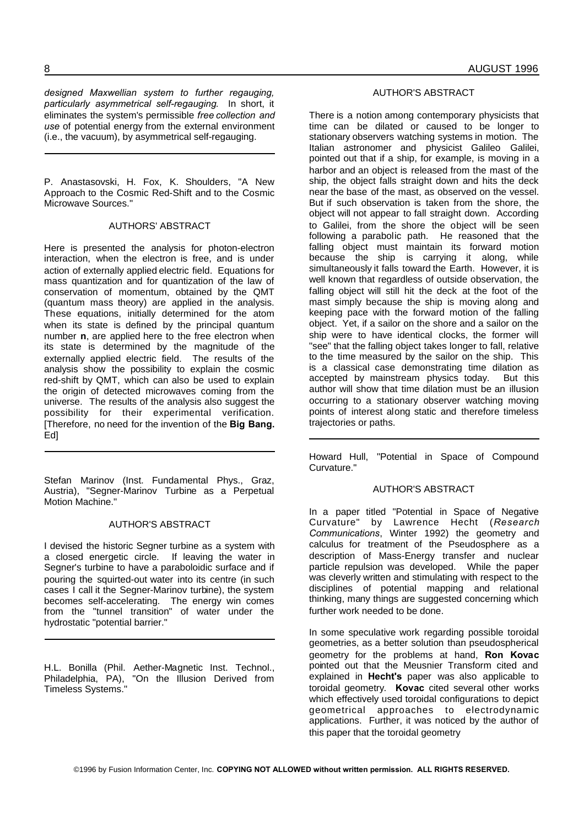*designed Maxwellian system to further regauging, particularly asymmetrical self-regauging*. In short, it eliminates the system's permissible *free collection and use* of potential energy from the external environment (i.e., the vacuum), by asymmetrical self-regauging.

P. Anastasovski, H. Fox, K. Shoulders, "A New Approach to the Cosmic Red-Shift and to the Cosmic Microwave Sources."

#### AUTHORS' ABSTRACT

Here is presented the analysis for photon-electron interaction, when the electron is free, and is under action of externally applied electric field. Equations for mass quantization and for quantization of the law of conservation of momentum, obtained by the QMT (quantum mass theory) are applied in the analysis. These equations, initially determined for the atom when its state is defined by the principal quantum number **n**, are applied here to the free electron when its state is determined by the magnitude of the externally applied electric field. The results of the analysis show the possibility to explain the cosmic red-shift by QMT, which can also be used to explain the origin of detected microwaves coming from the universe. The results of the analysis also suggest the possibility for their experimental verification. [Therefore, no need for the invention of the **Big Bang.** Ed]

Stefan Marinov (Inst. Fundamental Phys., Graz, Austria), "Segner-Marinov Turbine as a Perpetual Motion Machine."

#### AUTHOR'S ABSTRACT

I devised the historic Segner turbine as a system with a closed energetic circle. If leaving the water in Segner's turbine to have a paraboloidic surface and if pouring the squirted-out water into its centre (in such cases I call it the Segner-Marinov turbine), the system becomes self-accelerating. The energy win comes from the "tunnel transition" of water under the hydrostatic "potential barrier."

H.L. Bonilla (Phil. Aether-Magnetic Inst. Technol., Philadelphia, PA), "On the Illusion Derived from Timeless Systems."

# AUTHOR'S ABSTRACT

There is a notion among contemporary physicists that time can be dilated or caused to be longer to stationary observers watching systems in motion. The Italian astronomer and physicist Galileo Galilei, pointed out that if a ship, for example, is moving in a harbor and an object is released from the mast of the ship, the object falls straight down and hits the deck near the base of the mast, as observed on the vessel. But if such observation is taken from the shore, the object will not appear to fall straight down. According to Galilei, from the shore the object will be seen following a parabolic path. He reasoned that the falling object must maintain its forward motion because the ship is carrying it along, while simultaneously it falls toward the Earth. However, it is well known that regardless of outside observation, the falling object will still hit the deck at the foot of the mast simply because the ship is moving along and keeping pace with the forward motion of the falling object. Yet, if a sailor on the shore and a sailor on the ship were to have identical clocks, the former will "see" that the falling object takes longer to fall, relative to the time measured by the sailor on the ship. This is a classical case demonstrating time dilation as accepted by mainstream physics today. But this author will show that time dilation must be an illusion occurring to a stationary observer watching moving points of interest along static and therefore timeless trajectories or paths.

Howard Hull, "Potential in Space of Compound Curvature."

# AUTHOR'S ABSTRACT

In a paper titled "Potential in Space of Negative Curvature" by Lawrence Hecht (*Research Communications*, Winter 1992) the geometry and calculus for treatment of the Pseudosphere as a description of Mass-Energy transfer and nuclear particle repulsion was developed. While the paper was cleverly written and stimulating with respect to the disciplines of potential mapping and relational thinking, many things are suggested concerning which further work needed to be done.

In some speculative work regarding possible toroidal geometries, as a better solution than pseudospherical geometry for the problems at hand, **Ron Kovac** pointed out that the Meusnier Transform cited and explained in **Hecht's** paper was also applicable to toroidal geometry. **Kovac** cited several other works which effectively used toroidal configurations to depict geometrical approaches to electrodynamic applications. Further, it was noticed by the author of this paper that the toroidal geometry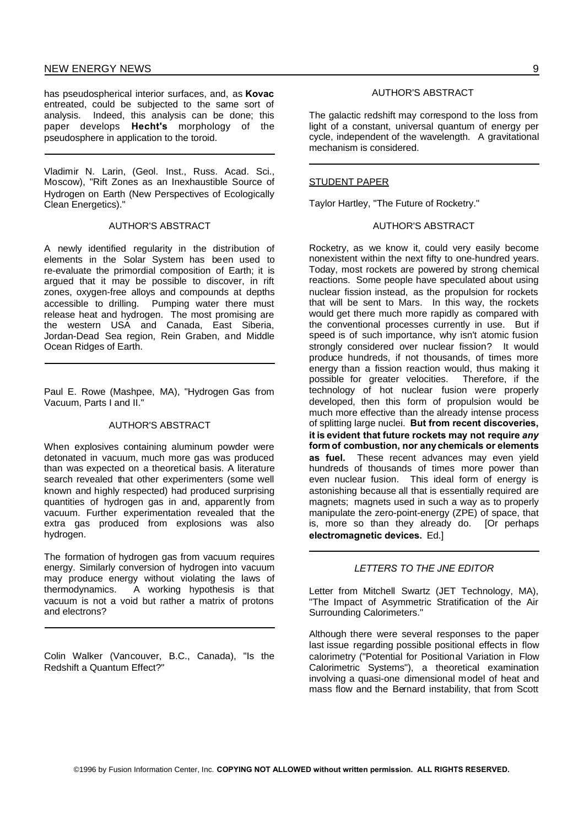has pseudospherical interior surfaces, and, as **Kovac** entreated, could be subjected to the same sort of analysis. Indeed, this analysis can be done; this paper develops **Hecht's** morphology of the pseudosphere in application to the toroid.

Vladimir N. Larin, (Geol. Inst., Russ. Acad. Sci., Moscow), "Rift Zones as an Inexhaustible Source of Hydrogen on Earth (New Perspectives of Ecologically Clean Energetics)."

#### AUTHOR'S ABSTRACT

A newly identified regularity in the distribution of elements in the Solar System has been used to re-evaluate the primordial composition of Earth; it is argued that it may be possible to discover, in rift zones, oxygen-free alloys and compounds at depths accessible to drilling. Pumping water there must release heat and hydrogen. The most promising are the western USA and Canada, East Siberia, Jordan-Dead Sea region, Rein Graben, and Middle Ocean Ridges of Earth.

Paul E. Rowe (Mashpee, MA), "Hydrogen Gas from Vacuum, Parts I and II."

# AUTHOR'S ABSTRACT

When explosives containing aluminum powder were detonated in vacuum, much more gas was produced than was expected on a theoretical basis. A literature search revealed that other experimenters (some well known and highly respected) had produced surprising quantities of hydrogen gas in and, apparently from vacuum. Further experimentation revealed that the extra gas produced from explosions was also hydrogen.

The formation of hydrogen gas from vacuum requires energy. Similarly conversion of hydrogen into vacuum may produce energy without violating the laws of thermodynamics. A working hypothesis is that vacuum is not a void but rather a matrix of protons and electrons?

Colin Walker (Vancouver, B.C., Canada), "Is the Redshift a Quantum Effect?"

# AUTHOR'S ABSTRACT

The galactic redshift may correspond to the loss from light of a constant, universal quantum of energy per cycle, independent of the wavelength. A gravitational mechanism is considered.

## STUDENT PAPER

Taylor Hartley, "The Future of Rocketry."

#### AUTHOR'S ABSTRACT

Rocketry, as we know it, could very easily become nonexistent within the next fifty to one-hundred years. Today, most rockets are powered by strong chemical reactions. Some people have speculated about using nuclear fission instead, as the propulsion for rockets that will be sent to Mars. In this way, the rockets would get there much more rapidly as compared with the conventional processes currently in use. But if speed is of such importance, why isn't atomic fusion strongly considered over nuclear fission? It would produce hundreds, if not thousands, of times more energy than a fission reaction would, thus making it possible for greater velocities. Therefore, if the technology of hot nuclear fusion were properly developed, then this form of propulsion would be much more effective than the already intense process of splitting large nuclei. **But from recent discoveries, it is evident that future rockets may not require** *any* **formof combustion, nor anychemicals or elements as fuel.** These recent advances may even yield hundreds of thousands of times more power than even nuclear fusion. This ideal form of energy is astonishing because all that is essentially required are magnets; magnets used in such a way as to properly manipulate the zero-point-energy (ZPE) of space, that is, more so than they already do. [Or perhaps **electromagnetic devices.** Ed.]

#### *LETTERS TO THE JNE EDITOR*

Letter from Mitchell Swartz (JET Technology, MA), "The Impact of Asymmetric Stratification of the Air Surrounding Calorimeters."

Although there were several responses to the paper last issue regarding possible positional effects in flow calorimetry ("Potential for Positional Variation in Flow Calorimetric Systems"), a theoretical examination involving a quasi-one dimensional model of heat and mass flow and the Bernard instability, that from Scott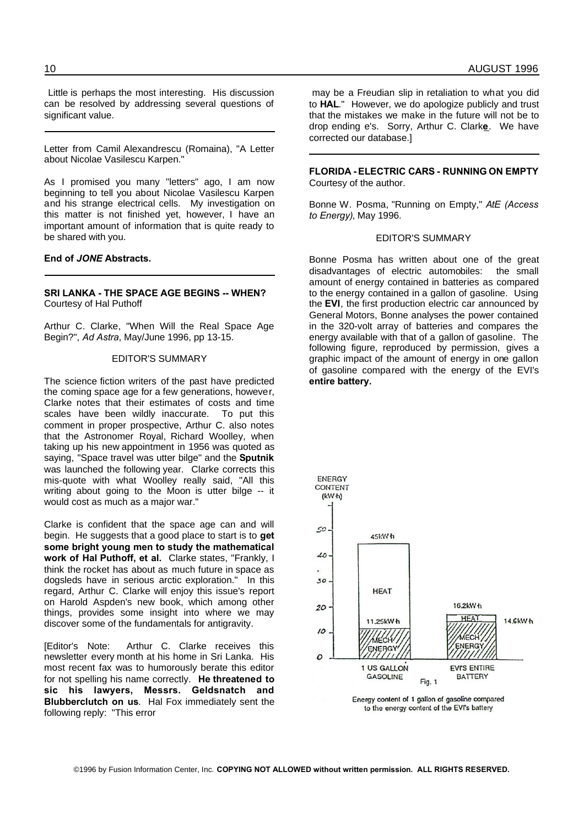Little is perhaps the most interesting. His discussion can be resolved by addressing several questions of significant value.

Letter from Camil Alexandrescu (Romaina), "A Letter about Nicolae Vasilescu Karpen."

As I promised you many "letters" ago, I am now beginning to tell you about Nicolae Vasilescu Karpen and his strange electrical cells. My investigation on this matter is not finished yet, however, I have an important amount of information that is quite ready to be shared with you.

#### **End of** *JONE* **Abstracts.**

#### **SRI LANKA - THE SPACE AGE BEGINS -- WHEN?** Courtesy of Hal Puthoff

Arthur C. Clarke, "When Will the Real Space Age Begin?", *Ad Astra*, May/June 1996, pp 13-15.

#### EDITOR'S SUMMARY

The science fiction writers of the past have predicted the coming space age for a few generations, however, Clarke notes that their estimates of costs and time scales have been wildly inaccurate. To put this comment in proper prospective, Arthur C. also notes that the Astronomer Royal, Richard Woolley, when taking up his new appointment in 1956 was quoted as saying, "Space travel was utter bilge" and the **Sputnik** was launched the following year. Clarke corrects this mis-quote with what Woolley really said, "All this writing about going to the Moon is utter bilge -- it would cost as much as a major war."

Clarke is confident that the space age can and will begin. He suggests that a good place to start is to **get some bright young men to study the mathematical work of Hal Puthoff, et al.** Clarke states, "Frankly, I think the rocket has about as much future in space as dogsleds have in serious arctic exploration." In this regard, Arthur C. Clarke will enjoy this issue's report on Harold Aspden's new book, which among other things, provides some insight into where we may discover some of the fundamentals for antigravity.

[Editor's Note: Arthur C. Clarke receives this newsletter every month at his home in Sri Lanka. His most recent fax was to humorously berate this editor for not spelling his name correctly. **He threatened to sic his lawyers, Messrs. Geldsnatch and Blubberclutch on us**. Hal Fox immediately sent the following reply: "This error

may be a Freudian slip in retaliation to what you did to **HAL**." However, we do apologize publicly and trust that the mistakes we make in the future will not be to drop ending e's. Sorry, Arthur C. Clark**e**. We have corrected our database.]

**FLORIDA - ELECTRIC CARS - RUNNING ON EMPTY** Courtesy of the author.

Bonne W. Posma, "Running on Empty," *AtE (Access to Energy)*, May 1996.

#### EDITOR'S SUMMARY

Bonne Posma has written about one of the great disadvantages of electric automobiles: the small amount of energy contained in batteries as compared to the energy contained in a gallon of gasoline. Using the **EVI**, the first production electric car announced by General Motors, Bonne analyses the power contained in the 320-volt array of batteries and compares the energy available with that of a gallon of gasoline. The following figure, reproduced by permission, gives a graphic impact of the amount of energy in one gallon of gasoline compared with the energy of the EVI's **entire battery.**



Energy content of 1 gallon of gasoline compared to the energy content of the EVI's battery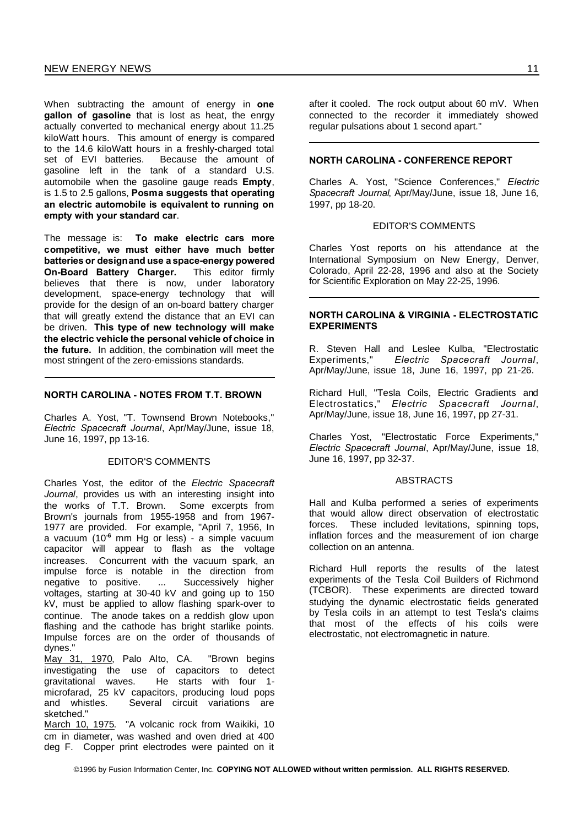When subtracting the amount of energy in **one gallon of gasoline** that is lost as heat, the enrgy actually converted to mechanical energy about 11.25 kiloWatt hours. This amount of energy is compared to the 14.6 kiloWatt hours in a freshly-charged total set of EVI batteries. Because the amount of gasoline left in the tank of a standard U.S. automobile when the gasoline gauge reads **Empty**, is 1.5 to 2.5 gallons, **Posma suggests that operating an electric automobile is equivalent to running on empty with your standard car**.

The message is: **To make electric cars more competitive, we must either have much better batteries or designand use a space-energy powered On-Board Battery Charger.** This editor firmly believes that there is now, under laboratory development, space-energy technology that will provide for the design of an on-board battery charger that will greatly extend the distance that an EVI can be driven. **This type of new technology will make the electric vehicle the personal vehicle of choice in the future.** In addition, the combination will meet the most stringent of the zero-emissions standards.

# **NORTH CAROLINA - NOTES FROM T.T. BROWN**

Charles A. Yost, "T. Townsend Brown Notebooks," *Electric Spacecraft Journal*, Apr/May/June, issue 18, June 16, 1997, pp 13-16.

# EDITOR'S COMMENTS

Charles Yost, the editor of the *Electric Spacecraft Journal*, provides us with an interesting insight into the works of T.T. Brown. Some excerpts from Brown's journals from 1955-1958 and from 1967- 1977 are provided. For example, "April 7, 1956, In a vacuum (10**-6** mm Hg or less) - a simple vacuum capacitor will appear to flash as the voltage increases. Concurrent with the vacuum spark, an impulse force is notable in the direction from negative to positive. ... Successively higher voltages, starting at 30-40 kV and going up to 150 kV, must be applied to allow flashing spark-over to continue. The anode takes on a reddish glow upon flashing and the cathode has bright starlike points. Impulse forces are on the order of thousands of

dynes."<br>May 31, 1970, Palo Alto, CA. "Brown begins investigating the use of capacitors to detect gravitational waves. He starts with four 1 microfarad, 25 kV capacitors, producing loud pops<br>and whistles. Several circuit variations are Several circuit variations are sketched."

March 10, 1975. "A volcanic rock from Waikiki, 10 cm in diameter, was washed and oven dried at 400 deg F. Copper print electrodes were painted on it after it cooled. The rock output about 60 mV. When connected to the recorder it immediately showed regular pulsations about 1 second apart."

# **NORTH CAROLINA - CONFERENCE REPORT**

Charles A. Yost, "Science Conferences," *Electric Spacecraft Journal*, Apr/May/June, issue 18, June 16, 1997, pp 18-20.

#### EDITOR'S COMMENTS

Charles Yost reports on his attendance at the International Symposium on New Energy, Denver, Colorado, April 22-28, 1996 and also at the Society for Scientific Exploration on May 22-25, 1996.

#### **NORTH CAROLINA & VIRGINIA - ELECTROSTATIC EXPERIMENTS**

R. Steven Hall and Leslee Kulba, "Electrostatic<br>Experiments." Electric Spacecraft Journal,  $E$ *lectric* Spacecraft Journal, Apr/May/June, issue 18, June 16, 1997, pp 21-26.

Richard Hull, "Tesla Coils, Electric Gradients and Electrostatics," *Electric Spacecraft Journal*, Apr/May/June, issue 18, June 16, 1997, pp 27-31.

Charles Yost, "Electrostatic Force Experiments," *Electric Spacecraft Journal*, Apr/May/June, issue 18, June 16, 1997, pp 32-37.

# ABSTRACTS

Hall and Kulba performed a series of experiments that would allow direct observation of electrostatic forces. These included levitations, spinning tops, inflation forces and the measurement of ion charge collection on an antenna.

Richard Hull reports the results of the latest experiments of the Tesla Coil Builders of Richmond (TCBOR). These experiments are directed toward studying the dynamic electrostatic fields generated by Tesla coils in an attempt to test Tesla's claims that most of the effects of his coils were electrostatic, not electromagnetic in nature.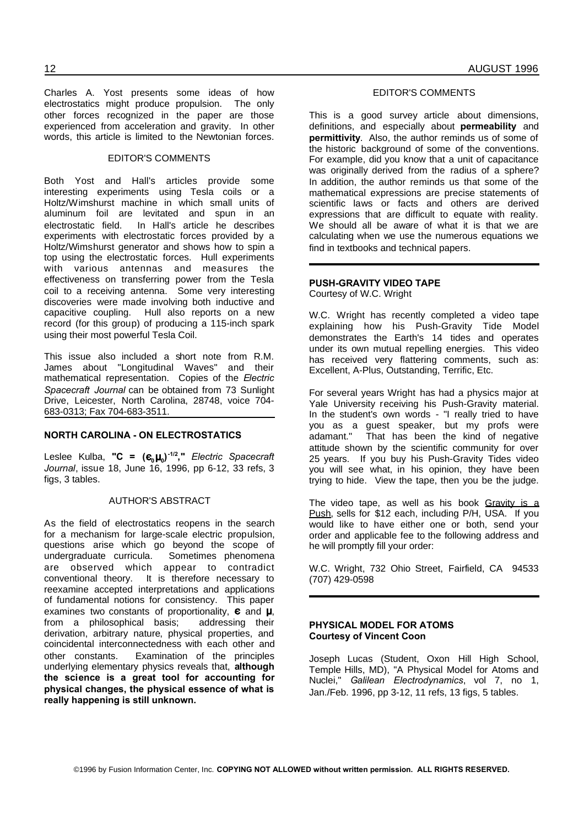Charles A. Yost presents some ideas of how electrostatics might produce propulsion. The only other forces recognized in the paper are those experienced from acceleration and gravity. In other words, this article is limited to the Newtonian forces.

# EDITOR'S COMMENTS

Both Yost and Hall's articles provide some interesting experiments using Tesla coils or a Holtz/Wimshurst machine in which small units of aluminum foil are levitated and spun in an electrostatic field. In Hall's article he describes experiments with electrostatic forces provided by a Holtz/Wimshurst generator and shows how to spin a top using the electrostatic forces. Hull experiments with various antennas and measures the effectiveness on transferring power from the Tesla coil to a receiving antenna. Some very interesting discoveries were made involving both inductive and capacitive coupling. Hull also reports on a new record (for this group) of producing a 115-inch spark using their most powerful Tesla Coil.

This issue also included a short note from R.M. James about "Longitudinal Waves" and their mathematical representation. Copies of the *Electric Spacecraft Journal* can be obtained from 73 Sunlight Drive, Leicester, North Carolina, 28748, voice 704- 683-0313; Fax 704-683-3511.

# **NORTH CAROLINA - ON ELECTROSTATICS**

Leslee Kulba, **"C = ( 0 0 ) -1/2 ,"** *Electric Spacecraft Journal*, issue 18, June 16, 1996, pp 6-12, 33 refs, 3 figs, 3 tables.

#### AUTHOR'S ABSTRACT

As the field of electrostatics reopens in the search for a mechanism for large-scale electric propulsion, questions arise which go beyond the scope of undergraduate curricula. Sometimes phenomena are observed which appear to contradict conventional theory. It is therefore necessary to reexamine accepted interpretations and applications of fundamental notions for consistency. This paper examines two constants of proportionality,  $\varepsilon$  and  $\mu$ , from a philosophical basis; addressing their from a philosophical basis; derivation, arbitrary nature, physical properties, and coincidental interconnectedness with each other and other constants. Examination of the principles underlying elementary physics reveals that, **although the science is a great tool for accounting for physical changes, the physical essence of what is really happening is still unknown.**

# EDITOR'S COMMENTS

This is a good survey article about dimensions, definitions, and especially about **permeability** and **permittivity**. Also, the author reminds us of some of the historic background of some of the conventions. For example, did you know that a unit of capacitance was originally derived from the radius of a sphere? In addition, the author reminds us that some of the mathematical expressions are precise statements of scientific laws or facts and others are derived expressions that are difficult to equate with reality. We should all be aware of what it is that we are calculating when we use the numerous equations we find in textbooks and technical papers.

# **PUSH-GRAVITY VIDEO TAPE**

Courtesy of W.C. Wright

W.C. Wright has recently completed a video tape explaining how his Push-Gravity Tide Model demonstrates the Earth's 14 tides and operates under its own mutual repelling energies. This video has received very flattering comments, such as: Excellent, A-Plus, Outstanding, Terrific, Etc.

For several years Wright has had a physics major at Yale University receiving his Push-Gravity material. In the student's own words - "I really tried to have you as a guest speaker, but my profs were adamant." That has been the kind of negative attitude shown by the scientific community for over 25 years. If you buy his Push-Gravity Tides video you will see what, in his opinion, they have been trying to hide. View the tape, then you be the judge.

The video tape, as well as his book Gravity is a Push, sells for \$12 each, including P/H, USA. If you would like to have either one or both, send your order and applicable fee to the following address and he will promptly fill your order:

W.C. Wright, 732 Ohio Street, Fairfield, CA 94533 (707) 429-0598

#### **PHYSICAL MODEL FOR ATOMS Courtesy of Vincent Coon**

Joseph Lucas (Student, Oxon Hill High School, Temple Hills, MD), "A Physical Model for Atoms and Nuclei," *Galilean Electrodynamics*, vol 7, no 1, Jan./Feb. 1996, pp 3-12, 11 refs, 13 figs, 5 tables.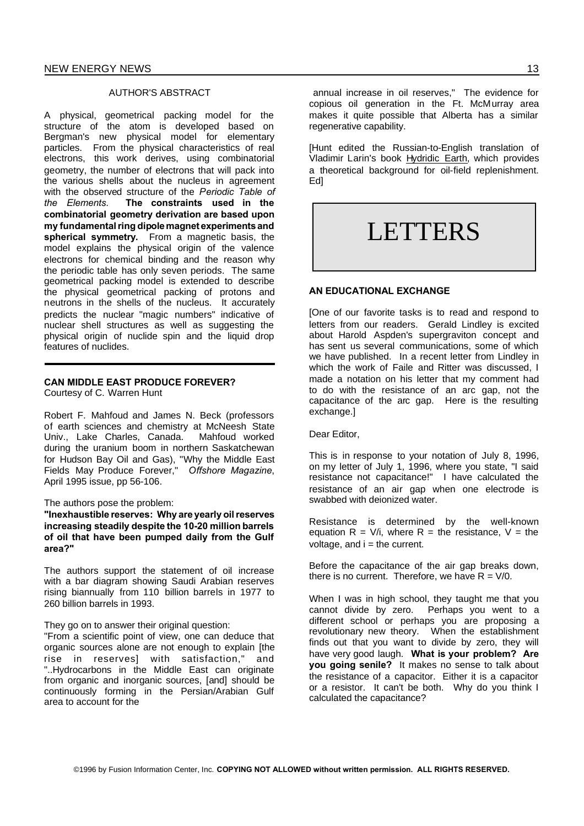#### AUTHOR'S ABSTRACT

A physical, geometrical packing model for the structure of the atom is developed based on Bergman's new physical model for elementary particles. From the physical characteristics of real electrons, this work derives, using combinatorial geometry, the number of electrons that will pack into the various shells about the nucleus in agreement with the observed structure of the *Periodic Table of the Elements*. **The constraints used in the combinatorial geometry derivation are based upon my fundamentalring dipole magnet experiments and spherical symmetry.** From a magnetic basis, the model explains the physical origin of the valence electrons for chemical binding and the reason why the periodic table has only seven periods. The same geometrical packing model is extended to describe the physical geometrical packing of protons and neutrons in the shells of the nucleus. It accurately predicts the nuclear "magic numbers" indicative of nuclear shell structures as well as suggesting the physical origin of nuclide spin and the liquid drop features of nuclides.

# **CAN MIDDLE EAST PRODUCE FOREVER?**

Courtesy of C. Warren Hunt

Robert F. Mahfoud and James N. Beck (professors of earth sciences and chemistry at McNeesh State Univ., Lake Charles, Canada. Mahfoud worked during the uranium boom in northern Saskatchewan for Hudson Bay Oil and Gas), "Why the Middle East Fields May Produce Forever," *Offshore Magazine*, April 1995 issue, pp 56-106.

#### The authors pose the problem:

**"Inexhaustible reserves: Why are yearly oil reserves increasing steadily despite the 10-20 million barrels of oil that have been pumped daily from the Gulf area?"**

The authors support the statement of oil increase with a bar diagram showing Saudi Arabian reserves rising biannually from 110 billion barrels in 1977 to 260 billion barrels in 1993.

They go on to answer their original question:

"From a scientific point of view, one can deduce that organic sources alone are not enough to explain [the rise in reserves] with satisfaction," and "..Hydrocarbons in the Middle East can originate from organic and inorganic sources, [and] should be continuously forming in the Persian/Arabian Gulf area to account for the

[Hunt edited the Russian-to-English translation of Vladimir Larin's book Hydridic Earth, which provides a theoretical background for oil-field replenishment. Ed]

# LETTERS

#### **AN EDUCATIONAL EXCHANGE**

[One of our favorite tasks is to read and respond to letters from our readers. Gerald Lindley is excited about Harold Aspden's supergraviton concept and has sent us several communications, some of which we have published. In a recent letter from Lindley in which the work of Faile and Ritter was discussed, I made a notation on his letter that my comment had to do with the resistance of an arc gap, not the capacitance of the arc gap. Here is the resulting exchange.]

Dear Editor,

This is in response to your notation of July 8, 1996, on my letter of July 1, 1996, where you state, "I said resistance not capacitance!" I have calculated the resistance of an air gap when one electrode is swabbed with deionized water.

Resistance is determined by the well-known equation  $R = V/i$ , where  $R = the$  resistance,  $V = the$ voltage, and  $i =$  the current.

Before the capacitance of the air gap breaks down, there is no current. Therefore, we have  $R = V/0$ .

When I was in high school, they taught me that you cannot divide by zero. Perhaps you went to a different school or perhaps you are proposing a revolutionary new theory. When the establishment finds out that you want to divide by zero, they will have very good laugh. **What is your problem? Are you going senile?** It makes no sense to talk about the resistance of a capacitor. Either it is a capacitor or a resistor. It can't be both. Why do you think I calculated the capacitance?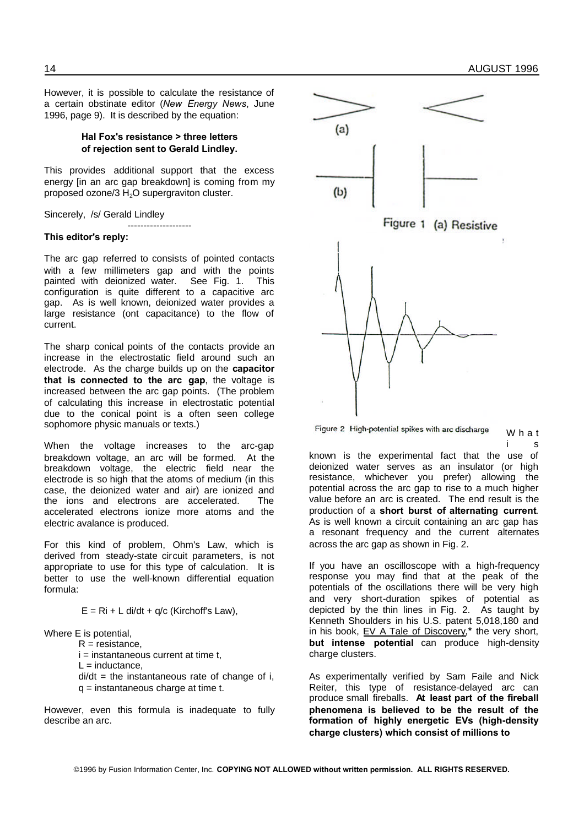However, it is possible to calculate the resistance of a certain obstinate editor (*New Energy News*, June 1996, page 9). It is described by the equation:

### **Hal Fox's resistance > three letters of rejection sent to Gerald Lindley.**

This provides additional support that the excess energy (in an arc gap breakdown) is coming from my proposed ozone/3 H<sub>2</sub>O supergraviton cluster.

--------------------

Sincerely, /s/ Gerald Lindley

#### **This editor's reply:**

The arc gap referred to consists of pointed contacts with a few millimeters gap and with the points painted with deionized water. See Fig. 1. This configuration is quite different to a capacitive arc gap. As is well known, deionized water provides a large resistance (ont capacitance) to the flow of current.

The sharp conical points of the contacts provide an increase in the electrostatic field around such an electrode. As the charge builds up on the **capacitor that is connected to the arc gap**, the voltage is increased between the arc gap points. (The problem of calculating this increase in electrostatic potential due to the conical point is a often seen college sophomore physic manuals or texts.)

When the voltage increases to the arc-gap breakdown voltage, an arc will be formed. At the breakdown voltage, the electric field near the electrode is so high that the atoms of medium (in this case, the deionized water and air) are ionized and the ions and electrons are accelerated. The accelerated electrons ionize more atoms and the electric avalance is produced.

For this kind of problem, Ohm's Law, which is derived from steady-state circuit parameters, is not appropriate to use for this type of calculation. It is better to use the well-known differential equation formula:

 $E = Ri + L$  di/dt + q/c (Kirchoff's Law),

Where E is potential,

 $R =$  resistance.

 $i =$  instantaneous current at time t,

 $L =$  inductance.

 $di/dt$  = the instantaneous rate of change of i,  $q =$  instantaneous charge at time t.

However, even this formula is inadequate to fully describe an arc.



Figure 2 High-potential spikes with arc discharge W h a t i s

known is the experimental fact that the use of deionized water serves as an insulator (or high resistance, whichever you prefer) allowing the potential across the arc gap to rise to a much higher value before an arc is created. The end result is the production of a **short burst of alternating current**. As is well known a circuit containing an arc gap has a resonant frequency and the current alternates across the arc gap as shown in Fig. 2.

If you have an oscilloscope with a high-frequency response you may find that at the peak of the potentials of the oscillations there will be very high and very short-duration spikes of potential as depicted by the thin lines in Fig. 2. As taught by Kenneth Shoulders in his U.S. patent 5,018,180 and in his book, EV A Tale of Discovery,**\*** the very short, **but intense potential** can produce high-density charge clusters.

As experimentally verified by Sam Faile and Nick Reiter, this type of resistance-delayed arc can produce small fireballs. **At least part of the fireball phenomena is believed to be the result of the formation of highly energetic EVs (high-density charge clusters) which consist of millions to**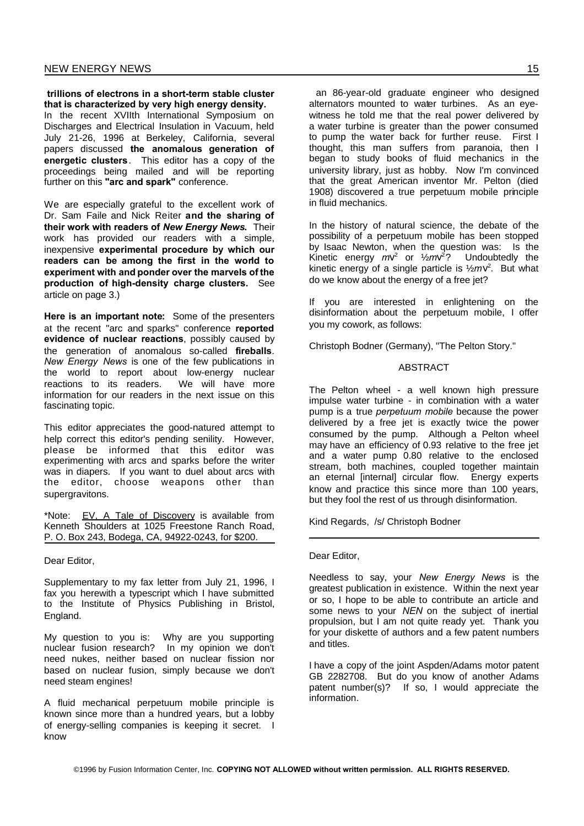**trillions of electrons in a short-term stable cluster that is characterized by very high energy density.** In the recent XVIIth International Symposium on Discharges and Electrical Insulation in Vacuum, held July 21-26, 1996 at Berkeley, California, several papers discussed **the anomalous generation of energetic clusters**. This editor has a copy of the proceedings being mailed and will be reporting further on this **"arc and spark"** conference.

We are especially grateful to the excellent work of Dr. Sam Faile and Nick Reiter **and the sharing of their work with readers of** *New Energy News***.** Their work has provided our readers with a simple, inexpensive **experimental procedure by which our readers can be among the first in the world to experiment with and ponder over the marvels of the production of high-density charge clusters.** See article on page 3.)

**Here is an important note:** Some of the presenters at the recent "arc and sparks" conference **reported evidence of nuclear reactions**, possibly caused by the generation of anomalous so-called **fireballs**. *New Energy News* is one of the few publications in the world to report about low-energy nuclear reactions to its readers. We will have more information for our readers in the next issue on this fascinating topic.

This editor appreciates the good-natured attempt to help correct this editor's pending senility. However, please be informed that this editor was experimenting with arcs and sparks before the writer was in diapers. If you want to duel about arcs with the editor, choose weapons other than supergravitons.

\*Note: EV, A Tale of Discovery is available from Kenneth Shoulders at 1025 Freestone Ranch Road, P. O. Box 243, Bodega, CA, 94922-0243, for \$200.

Dear Editor,

Supplementary to my fax letter from July 21, 1996, I fax you herewith a typescript which I have submitted to the Institute of Physics Publishing in Bristol, England.

My question to you is: Why are you supporting nuclear fusion research? In my opinion we don't need nukes, neither based on nuclear fission nor based on nuclear fusion, simply because we don't need steam engines!

A fluid mechanical perpetuum mobile principle is known since more than a hundred years, but a lobby of energy-selling companies is keeping it secret. I know

an 86-year-old graduate engineer who designed alternators mounted to water turbines. As an eyewitness he told me that the real power delivered by a water turbine is greater than the power consumed to pump the water back for further reuse. First I thought, this man suffers from paranoia, then I began to study books of fluid mechanics in the university library, just as hobby. Now I'm convinced that the great American inventor Mr. Pelton (died 1908) discovered a true perpetuum mobile principle in fluid mechanics.

In the history of natural science, the debate of the possibility of a perpetuum mobile has been stopped by Isaac Newton, when the question was: Is the Kinetic energy  $mv^2$  or  $\frac{1}{2}mv^2$ ? Undoubtedly the kinetic energy of a single particle is  $\frac{1}{2} m v^2$ . But what do we know about the energy of a free jet?

If you are interested in enlightening on the disinformation about the perpetuum mobile, I offer you my cowork, as follows:

Christoph Bodner (Germany), "The Pelton Story."

#### ABSTRACT

The Pelton wheel - a well known high pressure impulse water turbine - in combination with a water pump is a true *perpetuum mobile* because the power delivered by a free jet is exactly twice the power consumed by the pump. Although a Pelton wheel may have an efficiency of 0.93 relative to the free jet and a water pump 0.80 relative to the enclosed stream, both machines, coupled together maintain an eternal [internal] circular flow. Energy experts know and practice this since more than 100 years, but they fool the rest of us through disinformation.

Kind Regards, /s/ Christoph Bodner

#### Dear Editor,

Needless to say, your *New Energy News* is the greatest publication in existence. Within the next year or so, I hope to be able to contribute an article and some news to your *NEN* on the subject of inertial propulsion, but I am not quite ready yet. Thank you for your diskette of authors and a few patent numbers and titles.

I have a copy of the joint Aspden/Adams motor patent GB 2282708. But do you know of another Adams patent number(s)? If so, I would appreciate the information.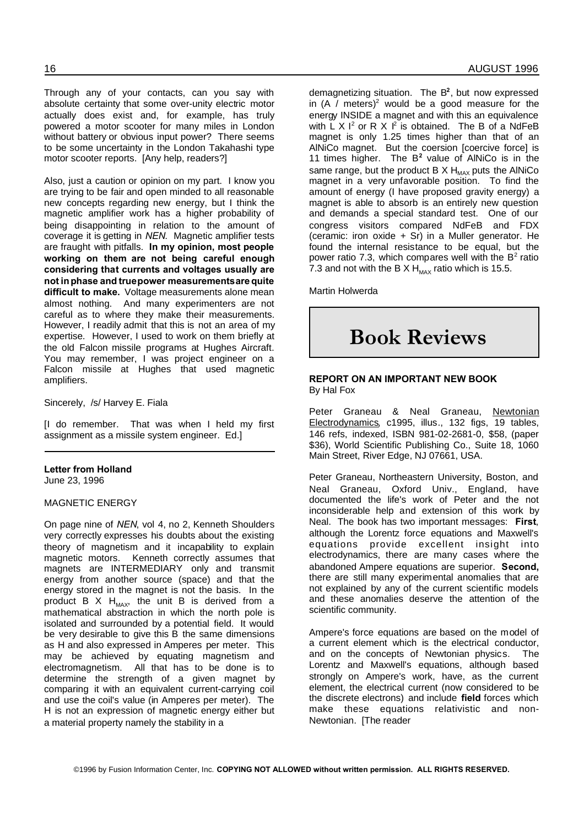Through any of your contacts, can you say with absolute certainty that some over-unity electric motor actually does exist and, for example, has truly powered a motor scooter for many miles in London without battery or obvious input power? There seems to be some uncertainty in the London Takahashi type motor scooter reports. [Any help, readers?]

Also, just a caution or opinion on my part. I know you are trying to be fair and open minded to all reasonable new concepts regarding new energy, but I think the magnetic amplifier work has a higher probability of being disappointing in relation to the amount of coverage it is getting in *NEN*. Magnetic amplifier tests are fraught with pitfalls. **In my opinion, most people working on them are not being careful enough considering that currents and voltages usually are not inphase and truepower measurementsare quite difficult to make.** Voltage measurements alone mean almost nothing. And many experimenters are not careful as to where they make their measurements. However, I readily admit that this is not an area of my expertise. However, I used to work on them briefly at the old Falcon missile programs at Hughes Aircraft. You may remember, I was project engineer on a Falcon missile at Hughes that used magnetic amplifiers.

Sincerely, /s/ Harvey E. Fiala

[I do remember. That was when I held my first assignment as a missile system engineer. Ed.]

#### **Letter from Holland** June 23, 1996

MAGNETIC ENERGY

On page nine of *NEN*, vol 4, no 2, Kenneth Shoulders very correctly expresses his doubts about the existing theory of magnetism and it incapability to explain magnetic motors. Kenneth correctly assumes that magnets are INTERMEDIARY only and transmit energy from another source (space) and that the energy stored in the magnet is not the basis. In the product B X  $H_{MAX}$ , the unit B is derived from a mathematical abstraction in which the north pole is isolated and surrounded by a potential field. It would be very desirable to give this B the same dimensions as H and also expressed in Amperes per meter. This may be achieved by equating magnetism and electromagnetism. All that has to be done is to determine the strength of a given magnet by comparing it with an equivalent current-carrying coil and use the coil's value (in Amperes per meter). The H is not an expression of magnetic energy either but a material property namely the stability in a

demagnetizing situation. The B **2** , but now expressed in (A / meters)<sup>2</sup> would be a good measure for the energy INSIDE a magnet and with this an equivalence with  $\tilde{L}$  X I<sup>2</sup> or R X I<sup>2</sup> is obtained. The B of a NdFeB magnet is only 1.25 times higher than that of an AlNiCo magnet. But the coersion [coercive force] is 11 times higher. The B **2** value of AlNiCo is in the same range, but the product  $B X H_{MAX}$  puts the AlNiCo magnet in a very unfavorable position. To find the amount of energy (I have proposed gravity energy) a magnet is able to absorb is an entirely new question and demands a special standard test. One of our congress visitors compared NdFeB and FDX (ceramic: iron oxide  $+$  Sr) in a Muller generator. He found the internal resistance to be equal, but the power ratio 7.3, which compares well with the  $B^2$  ratio 7.3 and not with the B X  $H_{\text{max}}$  ratio which is 15.5.

Martin Holwerda

# **Book Reviews**

# **REPORT ON AN IMPORTANT NEW BOOK** By Hal Fox

Peter Graneau & Neal Graneau, Newtonian Electrodynamics, c1995, illus., 132 figs, 19 tables, 146 refs, indexed, ISBN 981-02-2681-0, \$58, (paper \$36), World Scientific Publishing Co., Suite 18, 1060 Main Street, River Edge, NJ 07661, USA.

Peter Graneau, Northeastern University, Boston, and Neal Graneau, Oxford Univ., England, have documented the life's work of Peter and the not inconsiderable help and extension of this work by Neal. The book has two important messages: **First**, although the Lorentz force equations and Maxwell's equations provide excellent insight into electrodynamics, there are many cases where the abandoned Ampere equations are superior. **Second,** there are still many experimental anomalies that are not explained by any of the current scientific models and these anomalies deserve the attention of the scientific community.

Ampere's force equations are based on the model of a current element which is the electrical conductor, and on the concepts of Newtonian physics. The Lorentz and Maxwell's equations, although based strongly on Ampere's work, have, as the current element, the electrical current (now considered to be the discrete electrons) and include **field** forces which make these equations relativistic and non-Newtonian. [The reader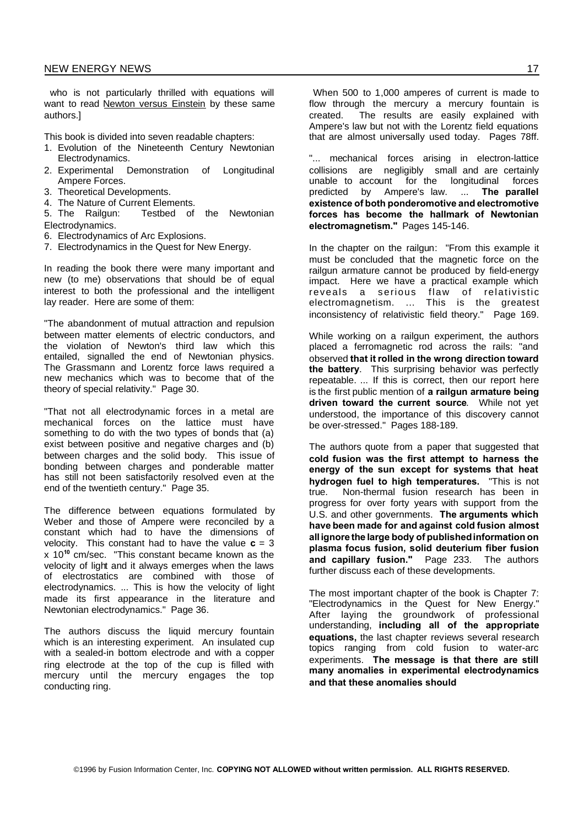who is not particularly thrilled with equations will want to read Newton versus Einstein by these same authors.]

This book is divided into seven readable chapters:

- 1. Evolution of the Nineteenth Century Newtonian Electrodynamics.
- 2. Experimental Demonstration of Longitudinal Ampere Forces.
- 3. Theoretical Developments.
- 4. The Nature of Current Elements.

5. The Railgun: Testbed of the Newtonian Electrodynamics.

- 6. Electrodynamics of Arc Explosions.
- 7. Electrodynamics in the Quest for New Energy.

In reading the book there were many important and new (to me) observations that should be of equal interest to both the professional and the intelligent lay reader. Here are some of them:

"The abandonment of mutual attraction and repulsion between matter elements of electric conductors, and the violation of Newton's third law which this entailed, signalled the end of Newtonian physics. The Grassmann and Lorentz force laws required a new mechanics which was to become that of the theory of special relativity." Page 30.

"That not all electrodynamic forces in a metal are mechanical forces on the lattice must have something to do with the two types of bonds that (a) exist between positive and negative charges and (b) between charges and the solid body. This issue of bonding between charges and ponderable matter has still not been satisfactorily resolved even at the end of the twentieth century." Page 35.

The difference between equations formulated by Weber and those of Ampere were reconciled by a constant which had to have the dimensions of velocity. This constant had to have the value  $c = 3$ x 10**<sup>10</sup>** cm/sec. "This constant became known as the velocity of light and it always emerges when the laws of electrostatics are combined with those of electrodynamics. ... This is how the velocity of light made its first appearance in the literature and Newtonian electrodynamics." Page 36.

The authors discuss the liquid mercury fountain which is an interesting experiment. An insulated cup with a sealed-in bottom electrode and with a copper ring electrode at the top of the cup is filled with mercury until the mercury engages the top conducting ring.

When 500 to 1,000 amperes of current is made to flow through the mercury a mercury fountain is created. The results are easily explained with Ampere's law but not with the Lorentz field equations that are almost universally used today. Pages 78ff.

"... mechanical forces arising in electron-lattice collisions are negligibly small and are certainly unable to account for the longitudinal forces predicted by Ampere's law. ... **The parallel existence of both ponderomotive and electromotive forces has become the hallmark of Newtonian electromagnetism."** Pages 145-146.

In the chapter on the railgun: "From this example it must be concluded that the magnetic force on the railgun armature cannot be produced by field-energy impact. Here we have a practical example which reveals a serious flaw of relativistic electromagnetism. ... This is the greatest inconsistency of relativistic field theory." Page 169.

While working on a railgun experiment, the authors placed a ferromagnetic rod across the rails: "and observed **that it rolled in the wrong direction toward the battery**. This surprising behavior was perfectly repeatable. ... If this is correct, then our report here is the first public mention of **a railgun armature being driven toward the current source**. While not yet understood, the importance of this discovery cannot be over-stressed." Pages 188-189.

The authors quote from a paper that suggested that **cold fusion was the first attempt to harness the energy of the sun except for systems that heat hydrogen fuel to high temperatures.** "This is not true. Non-thermal fusion research has been in progress for over forty years with support from the U.S. and other governments. **The arguments which have been made for and against cold fusion almost allignore the large body of publishedinformation on plasma focus fusion, solid deuterium fiber fusion and capillary fusion."** Page 233. The authors further discuss each of these developments.

The most important chapter of the book is Chapter 7: "Electrodynamics in the Quest for New Energy." After laying the groundwork of professional understanding, **including all of the appropriate equations,** the last chapter reviews several research topics ranging from cold fusion to water-arc experiments. **The message is that there are still many anomalies in experimental electrodynamics and that these anomalies should**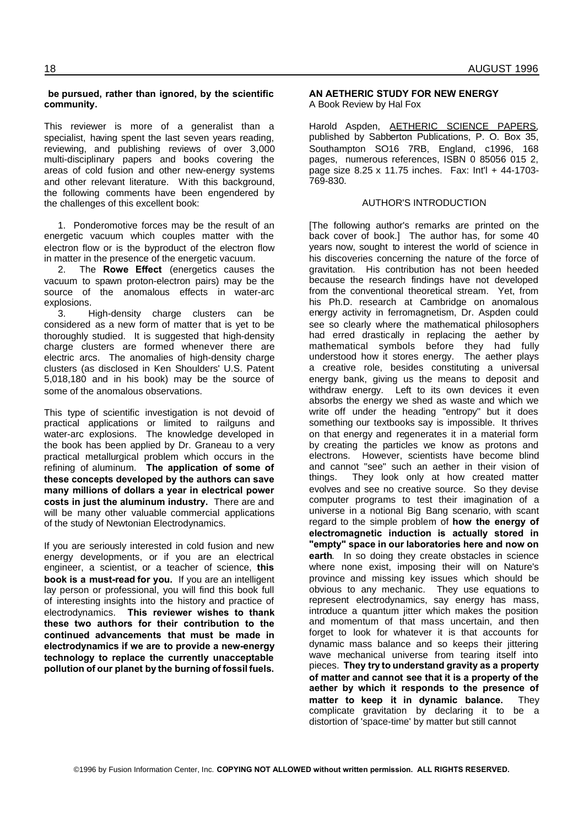# **be pursued, rather than ignored, by the scientific community.**

This reviewer is more of a generalist than a specialist, having spent the last seven years reading, reviewing, and publishing reviews of over 3,000 multi-disciplinary papers and books covering the areas of cold fusion and other new-energy systems and other relevant literature. With this background, the following comments have been engendered by the challenges of this excellent book:

1. Ponderomotive forces may be the result of an energetic vacuum which couples matter with the electron flow or is the byproduct of the electron flow in matter in the presence of the energetic vacuum.

2. The **Rowe Effect** (energetics causes the vacuum to spawn proton-electron pairs) may be the source of the anomalous effects in water-arc explosions.

3. High-density charge clusters can be considered as a new form of matter that is yet to be thoroughly studied. It is suggested that high-density charge clusters are formed whenever there are electric arcs. The anomalies of high-density charge clusters (as disclosed in Ken Shoulders' U.S. Patent 5,018,180 and in his book) may be the source of some of the anomalous observations.

This type of scientific investigation is not devoid of practical applications or limited to railguns and water-arc explosions. The knowledge developed in the book has been applied by Dr. Graneau to a very practical metallurgical problem which occurs in the refining of aluminum. **The application of some of these concepts developed by the authors can save many millions of dollars a year in electrical power costs in just the aluminum industry.** There are and will be many other valuable commercial applications of the study of Newtonian Electrodynamics.

If you are seriously interested in cold fusion and new energy developments, or if you are an electrical engineer, a scientist, or a teacher of science, **this book is a must-read for you.** If you are an intelligent lay person or professional, you will find this book full of interesting insights into the history and practice of electrodynamics. **This reviewer wishes to thank these two authors for their contribution to the continued advancements that must be made in electrodynamics if we are to provide a new-energy technology to replace the currently unacceptable pollution of our planet by the burning of fossil fuels.**

# **AN AETHERIC STUDY FOR NEW ENERGY** A Book Review by Hal Fox

Harold Aspden, AETHERIC SCIENCE PAPERS, published by Sabberton Publications, P. O. Box 35, Southampton SO16 7RB, England, c1996, 168 pages, numerous references, ISBN 0 85056 015 2, page size 8.25 x 11.75 inches. Fax: Int'l + 44-1703- 769-830.

# AUTHOR'S INTRODUCTION

[The following author's remarks are printed on the back cover of book.] The author has, for some 40 years now, sought to interest the world of science in his discoveries concerning the nature of the force of gravitation. His contribution has not been heeded because the research findings have not developed from the conventional theoretical stream. Yet, from his Ph.D. research at Cambridge on anomalous energy activity in ferromagnetism, Dr. Aspden could see so clearly where the mathematical philosophers had erred drastically in replacing the aether by mathematical symbols before they had fully understood how it stores energy. The aether plays a creative role, besides constituting a universal energy bank, giving us the means to deposit and withdraw energy. Left to its own devices it even absorbs the energy we shed as waste and which we write off under the heading "entropy" but it does something our textbooks say is impossible. It thrives on that energy and regenerates it in a material form by creating the particles we know as protons and electrons. However, scientists have become blind and cannot "see" such an aether in their vision of things. They look only at how created matter evolves and see no creative source. So they devise computer programs to test their imagination of a universe in a notional Big Bang scenario, with scant regard to the simple problem of **how the energy of electromagnetic induction is actually stored in "empty" space in our laboratories here and now on earth**. In so doing they create obstacles in science where none exist, imposing their will on Nature's province and missing key issues which should be obvious to any mechanic. They use equations to represent electrodynamics, say energy has mass, introduce a quantum jitter which makes the position and momentum of that mass uncertain, and then forget to look for whatever it is that accounts for dynamic mass balance and so keeps their jittering wave mechanical universe from tearing itself into pieces. **They try to understand gravity as a property of matter and cannot see that it is a property of the aether by which it responds to the presence of matter to keep it in dynamic balance.** They complicate gravitation by declaring it to be a distortion of 'space-time' by matter but still cannot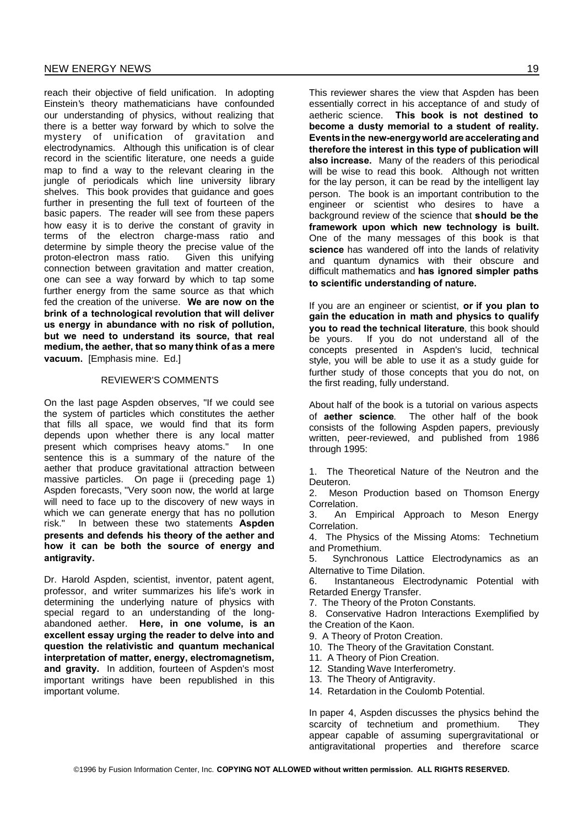reach their objective of field unification. In adopting Einstein's theory mathematicians have confounded our understanding of physics, without realizing that there is a better way forward by which to solve the mystery of unification of gravitation and electrodynamics. Although this unification is of clear record in the scientific literature, one needs a guide map to find a way to the relevant clearing in the jungle of periodicals which line university library shelves. This book provides that guidance and goes further in presenting the full text of fourteen of the basic papers. The reader will see from these papers how easy it is to derive the constant of gravity in terms of the electron charge-mass ratio and determine by simple theory the precise value of the proton-electron mass ratio. Given this unifying connection between gravitation and matter creation, one can see a way forward by which to tap some further energy from the same source as that which fed the creation of the universe. **We are now on the brink of a technological revolution that will deliver us energy in abundance with no risk of pollution, but we need to understand its source, that real medium, the aether, that so many think of as a mere vacuum.** [Emphasis mine. Ed.]

#### REVIEWER'S COMMENTS

On the last page Aspden observes, "If we could see the system of particles which constitutes the aether that fills all space, we would find that its form depends upon whether there is any local matter present which comprises heavy atoms." In one sentence this is a summary of the nature of the aether that produce gravitational attraction between massive particles. On page ii (preceding page 1) Aspden forecasts, "Very soon now, the world at large will need to face up to the discovery of new ways in which we can generate energy that has no pollution risk." In between these two statements **Aspden presents and defends his theory of the aether and how it can be both the source of energy and antigravity.**

Dr. Harold Aspden, scientist, inventor, patent agent, professor, and writer summarizes his life's work in determining the underlying nature of physics with special regard to an understanding of the longabandoned aether. **Here, in one volume, is an excellent essay urging the reader to delve into and question the relativistic and quantum mechanical interpretation of matter, energy, electromagnetism, and gravity.** In addition, fourteen of Aspden's most important writings have been republished in this important volume.

This reviewer shares the view that Aspden has been essentially correct in his acceptance of and study of aetheric science. **This book is not destined to become a dusty memorial to a student of reality. Eventsinthe new-energyworld are accelerating and therefore the interest in this type of publication will also increase.** Many of the readers of this periodical will be wise to read this book. Although not written for the lay person, it can be read by the intelligent lay person. The book is an important contribution to the engineer or scientist who desires to have a background review of the science that **should be the framework upon which new technology is built.** One of the many messages of this book is that **science** has wandered off into the lands of relativity and quantum dynamics with their obscure and difficult mathematics and **has ignored simpler paths to scientific understanding of nature.**

If you are an engineer or scientist, **or if you plan to gain the education in math and physics to qualify you to read the technical literature**, this book should be yours. If you do not understand all of the concepts presented in Aspden's lucid, technical style, you will be able to use it as a study guide for further study of those concepts that you do not, on the first reading, fully understand.

About half of the book is a tutorial on various aspects of **aether science**. The other half of the book consists of the following Aspden papers, previously written, peer-reviewed, and published from 1986 through 1995:

1. The Theoretical Nature of the Neutron and the Deuteron.

2. Meson Production based on Thomson Energy Correlation.

3. An Empirical Approach to Meson Energy Correlation.

4. The Physics of the Missing Atoms: Technetium and Promethium.

5. Synchronous Lattice Electrodynamics as an Alternative to Time Dilation.

6. Instantaneous Electrodynamic Potential with Retarded Energy Transfer.

7. The Theory of the Proton Constants.

8. Conservative Hadron Interactions Exemplified by the Creation of the Kaon.

9. A Theory of Proton Creation.

- 10. The Theory of the Gravitation Constant.
- 11. A Theory of Pion Creation.
- 12. Standing Wave Interferometry.
- 13. The Theory of Antigravity.
- 14. Retardation in the Coulomb Potential.

In paper 4, Aspden discusses the physics behind the scarcity of technetium and promethium. They appear capable of assuming supergravitational or antigravitational properties and therefore scarce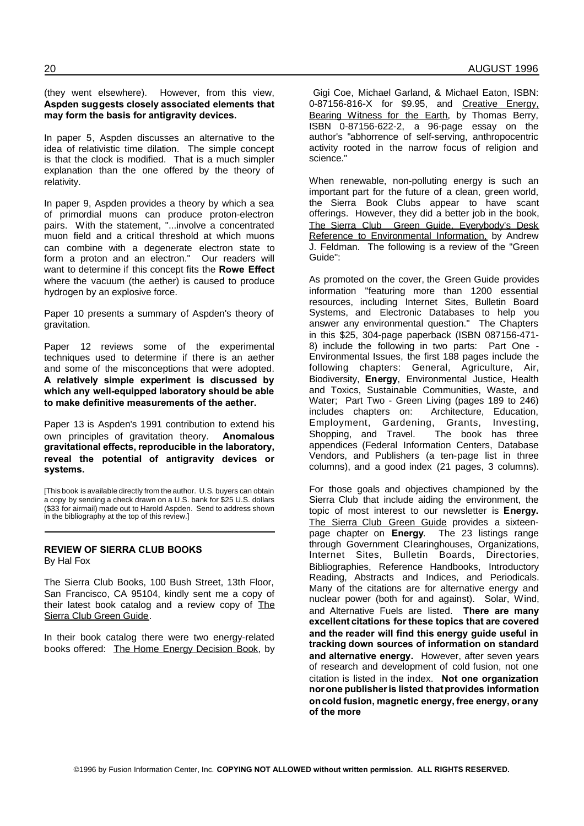#### (they went elsewhere). However, from this view, **Aspden suggests closely associated elements that may form the basis for antigravity devices.**

In paper 5, Aspden discusses an alternative to the idea of relativistic time dilation. The simple concept is that the clock is modified. That is a much simpler explanation than the one offered by the theory of relativity.

In paper 9, Aspden provides a theory by which a sea of primordial muons can produce proton-electron pairs. With the statement, "...involve a concentrated muon field and a critical threshold at which muons can combine with a degenerate electron state to form a proton and an electron." Our readers will want to determine if this concept fits the **Rowe Effect** where the vacuum (the aether) is caused to produce hydrogen by an explosive force.

Paper 10 presents a summary of Aspden's theory of gravitation.

Paper 12 reviews some of the experimental techniques used to determine if there is an aether and some of the misconceptions that were adopted. **A relatively simple experiment is discussed by which any well-equipped laboratory should be able to make definitive measurements of the aether.**

Paper 13 is Aspden's 1991 contribution to extend his own principles of gravitation theory. **Anomalous gravitational effects, reproducible in the laboratory, reveal the potential of antigravity devices or systems.**

[This book is available directly from the author. U.S. buyers can obtain a copy by sending a check drawn on a U.S. bank for \$25 U.S. dollars (\$33 for airmail) made out to Harold Aspden. Send to address shown in the bibliography at the top of this review.]

# **REVIEW OF SIERRA CLUB BOOKS** By Hal Fox

The Sierra Club Books, 100 Bush Street, 13th Floor, San Francisco, CA 95104, kindly sent me a copy of their latest book catalog and a review copy of The Sierra Club Green Guide.

In their book catalog there were two energy-related books offered: The Home Energy Decision Book, by

Gigi Coe, Michael Garland, & Michael Eaton, ISBN: 0-87156-816-X for \$9.95, and Creative Energy, Bearing Witness for the Earth, by Thomas Berry, ISBN 0-87156-622-2, a 96-page essay on the author's "abhorrence of self-serving, anthropocentric activity rooted in the narrow focus of religion and science."

When renewable, non-polluting energy is such an important part for the future of a clean, green world, the Sierra Book Clubs appear to have scant offerings. However, they did a better job in the book, The Sierra Club Green Guide, Everybody's Desk Reference to Environmental Information, by Andrew J. Feldman. The following is a review of the "Green Guide":

As promoted on the cover, the Green Guide provides information "featuring more than 1200 essential resources, including Internet Sites, Bulletin Board Systems, and Electronic Databases to help you answer any environmental question." The Chapters in this \$25, 304-page paperback (ISBN 087156-471- 8) include the following in two parts: Part One - Environmental Issues, the first 188 pages include the following chapters: General, Agriculture, Air, Biodiversity, **Energy**, Environmental Justice, Health and Toxics, Sustainable Communities, Waste, and Water; Part Two - Green Living (pages 189 to 246) includes chapters on: Architecture, Education, Employment, Gardening, Grants, Investing, Shopping, and Travel. The book has three appendices (Federal Information Centers, Database Vendors, and Publishers (a ten-page list in three columns), and a good index (21 pages, 3 columns).

For those goals and objectives championed by the Sierra Club that include aiding the environment, the topic of most interest to our newsletter is **Energy.** The Sierra Club Green Guide provides a sixteenpage chapter on **Energy**. The 23 listings range through Government Clearinghouses, Organizations, Internet Sites, Bulletin Boards, Directories, Bibliographies, Reference Handbooks, Introductory Reading, Abstracts and Indices, and Periodicals. Many of the citations are for alternative energy and nuclear power (both for and against). Solar, Wind, and Alternative Fuels are listed. **There are many excellent citations for these topics that are covered and the reader will find this energy guide useful in tracking down sources of information on standard and alternative energy.** However, after seven years of research and development of cold fusion, not one citation is listed in the index. **Not one organization norone publisheris listed thatprovides information oncold fusion, magnetic energy, free energy, orany of the more**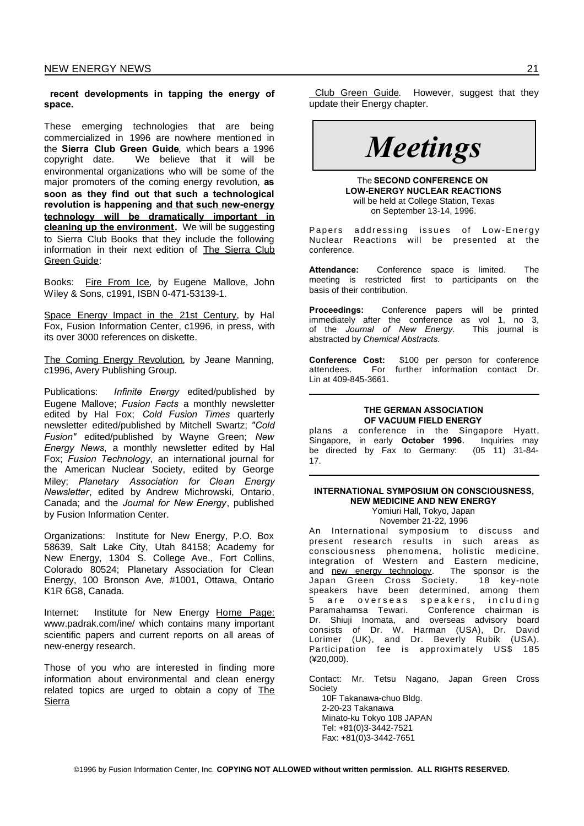**recent developments in tapping the energy of space.**

These emerging technologies that are being commercialized in 1996 are nowhere mentioned in the **Sierra Club Green Guide**, which bears a 1996 copyright date. We believe that it will be environmental organizations who will be some of the major promoters of the coming energy revolution, **as soon as they find out that such a technological revolution is happening and that such new-energy technology will be dramatically important in cleaning up the environment.** We will be suggesting to Sierra Club Books that they include the following information in their next edition of The Sierra Club Green Guide:

Books: Fire From Ice, by Eugene Mallove, John Wiley & Sons, c1991, ISBN 0-471-53139-1.

Space Energy Impact in the 21st Century, by Hal Fox, Fusion Information Center, c1996, in press, with its over 3000 references on diskette.

The Coming Energy Revolution, by Jeane Manning, c1996, Avery Publishing Group.

Publications: *Infinite Energy* edited/published by Eugene Mallove; *Fusion Facts* a monthly newsletter edited by Hal Fox; *Cold Fusion Times* quarterly newsletter edited/published by Mitchell Swartz; *"Cold Fusion"* edited/published by Wayne Green; *New Energy News*, a monthly newsletter edited by Hal Fox; *Fusion Technology*, an international journal for the American Nuclear Society, edited by George Miley; *Planetary Association for Clean Energy Newsletter*, edited by Andrew Michrowski, Ontario, Canada; and the *Journal for New Energy*, published by Fusion Information Center.

Organizations: Institute for New Energy, P.O. Box 58639, Salt Lake City, Utah 84158; Academy for New Energy, 1304 S. College Ave., Fort Collins, Colorado 80524; Planetary Association for Clean Energy, 100 Bronson Ave, #1001, Ottawa, Ontario K1R 6G8, Canada.

Internet: Institute for New Energy Home Page: www.padrak.com/ine/ which contains many important scientific papers and current reports on all areas of new-energy research.

Those of you who are interested in finding more information about environmental and clean energy related topics are urged to obtain a copy of The **Sierra** 

Club Green Guide. However, suggest that they update their Energy chapter.

# *Meetings*

The **SECOND CONFERENCE ON LOW-ENERGY NUCLEAR REACTIONS** will be held at College Station, Texas on September 13-14, 1996.

Papers addressing issues of Low-Energy Nuclear Reactions will be presented at the conference.

**Attendance:** Conference space is limited. The meeting is restricted first to participants on the basis of their contribution.

**Proceedings:** Conference papers will be printed immediately after the conference as vol 1, no 3, of the *Journal of New Energy*. This journal is abstracted by *Chemical Abstracts.*

**Conference Cost:** \$100 per person for conference **attendees**. For further information contact Dr. For further information contact Dr. Lin at 409-845-3661.

#### **THE GERMAN ASSOCIATION OF VACUUM FIELD ENERGY**

plans a conference in the Singapore Hyatt, Singapore, in early **October 1996**. Inquiries may be directed by Fax to Germany: 17.

# **INTERNATIONAL SYMPOSIUM ON CONSCIOUSNESS, NEW MEDICINE AND NEW ENERGY**

Yomiuri Hall, Tokyo, Japan November 21-22, 1996

An International symposium to discuss and present research results in such areas as consciousness phenomena, holistic medicine, integration of Western and Eastern medicine, and new energy technology. The sponsor is the Japan Green Cross Society. 18 key-note speakers have been determined, among them 5 are overseas speakers, including Paramahamsa Tewari. Conference chairman is Dr. Shiuji Inomata, and overseas advisory board consists of Dr. W. Harman (USA), Dr. David Lorimer (UK), and Dr. Beverly Rubik (USA). Participation fee is approximately US\$ 185 (¥20,000).

Contact: Mr. Tetsu Nagano, Japan Green Cross **Society** 

10F Takanawa-chuo Bldg. 2-20-23 Takanawa Minato-ku Tokyo 108 JAPAN Tel: +81(0)3-3442-7521 Fax: +81(0)3-3442-7651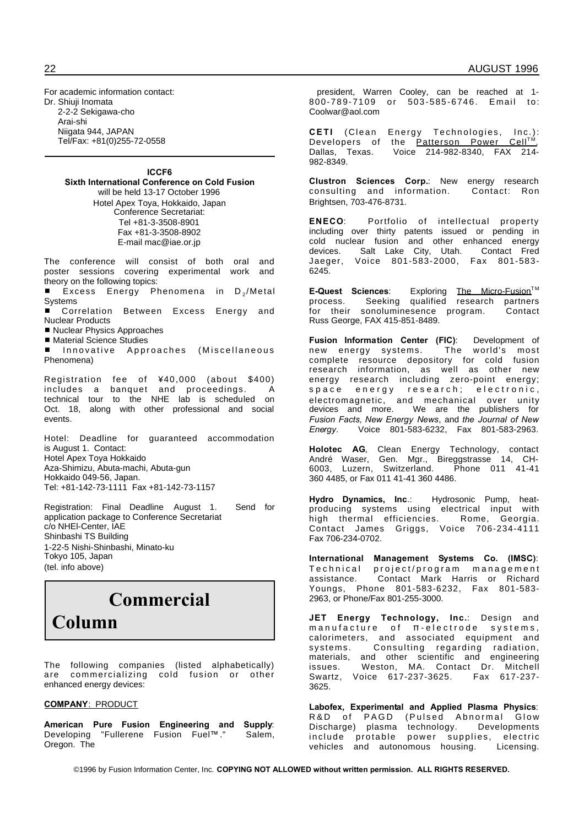For academic information contact: Dr. Shiuji Inomata 2-2-2 Sekigawa-cho Arai-shi Niigata 944, JAPAN Tel/Fax: +81(0)255-72-0558

#### **ICCF6 Sixth International Conference on Cold Fusion** will be held 13-17 October 1996

Hotel Apex Toya, Hokkaido, Japan Conference Secretariat: Tel +81-3-3508-8901 Fax +81-3-3508-8902 E-mail mac@iae.or.jp

The conference will consist of both oral and poster sessions covering experimental work and theory on the following topics:

 $\blacksquare$  Excess Energy Phenomena in D<sub>2</sub>/Metal **Systems** 

- Correlation Between Excess Energy and Nuclear Products
- Nuclear Physics Approaches
- Material Science Studies

Innovative Approaches (Miscellaneous Phenomena)

Registration fee of ¥40,000 (about \$400) includes a banquet and proceedings. A technical tour to the NHE lab is scheduled on Oct. 18, along with other professional and social events.

Hotel: Deadline for guaranteed accommodation is August 1. Contact: Hotel Apex Toya Hokkaido Aza-Shimizu, Abuta-machi, Abuta-gun Hokkaido 049-56, Japan. Tel: +81-142-73-1111 Fax +81-142-73-1157

Registration: Final Deadline August 1. Send for application package to Conference Secretariat c/o NHEl-Center, IAE Shinbashi TS Building 1-22-5 Nishi-Shinbashi, Minato-ku Tokyo 105, Japan (tel. info above)

# **Commercial**

**Column**

The following companies (listed alphabetically) are commercializing cold fusion or other enhanced energy devices:

#### **COMPANY**: PRODUCT

**American Pure Fusion Engineering and Supply**: Developing "Fullerene Fusion Fuel™." Salem, Oregon. The

president, Warren Cooley, can be reached at 1- 800-789-7109 or 503-585-6746. Email to: Coolwar@aol.com

**CETI** (Clean Energy Technologies, Inc.): Developers of the <u>Patterson Power Cell<sup>TM</sup>.</u>  $ln c_{\cdot}$ ):<br>Cell™:<br>X 214-Dallas, Texas. Voice 214-982-8340, FAX 982-8349.

**Clustron Sciences Corp.**: New energy research consulting and information. Contact: Ron Brightsen, 703-476-8731.

**ENECO**: Portfolio of intellectual property including over thirty patents issued or pending in cold nuclear fusion and other enhanced energy devices. Salt Lake City, Utah. Contact Fred Jaeger, Voice 801-583-2000, Fax 801-583- 6245.

**E-Quest Sciences:** Exploring The Micro-Fusion<sup>™</sup> process. Seeking qualified research partners for their sonoluminesence program. Contact Russ George, FAX 415-851-8489.

**Fusion Information Center (FIC)**: Development of new energy systems. The world's most complete resource depository for cold fusion research information, as well as other new energy research including zero-point energy; space energy research; electronic, electromagnetic, and mechanical over unity devices and more. We are the publishers for *Fusion Facts, New Energy News*, and *the Journal of New Energy.* Voice 801-583-6232, Fax 801-583-2963.

**Holotec AG**, Clean Energy Technology, contact André Waser, Gen. Mgr., Bireggstrasse 14, CH-<br>6003, Luzern, Switzerland. Phone 011 41-41 6003, Luzern, Switzerland. 360 4485, or Fax 011 41-41 360 4486.

**Hydro Dynamics, Inc**.: Hydrosonic Pump, heatproducing systems using electrical input with high thermal efficiencies. Rome, Georgia. Contact James Griggs, Voice 706-234-4111 Fax 706-234-0702.

**International Management Systems Co. (IMSC)**: Technical project/program management assistance. Contact Mark Harris or Richard Youngs, Phone 801-583-6232, Fax 801-583- 2963, or Phone/Fax 801-255-3000.

**JET Energy Technology, Inc.**: Design and  $m$  anufacture of  $\pi$ -electrode systems, calorimeters, and associated equipment and systems. Consulting regarding radiation, materials, and other scientific and engineering issues. Weston, MA. Contact Dr. Mitchell Swartz, Voice 617-237-3625. Fax 617-237- 3625.

**Labofex, Experimental and Applied Plasma Physics**: R&D of PAGD (Pulsed Abnormal Glow Discharge) plasma technology. Developments include protable power supplies, electric vehicles and autonomous housing. Licensing.

©1996 by Fusion Information Center, Inc. **COPYING NOT ALLOWED without written permission. ALL RIGHTS RESERVED.**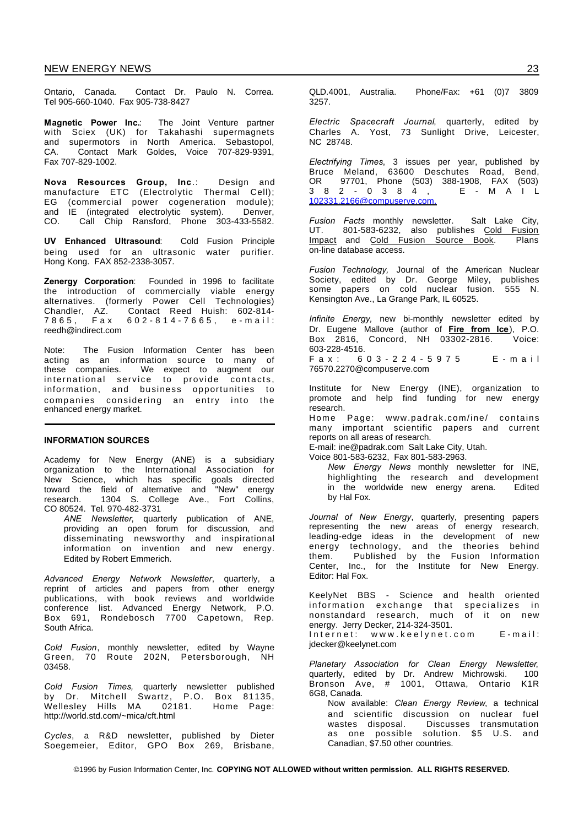Ontario, Canada. Contact Dr. Paulo N. Correa. Tel 905-660-1040. Fax 905-738-8427

**Magnetic Power Inc.**: The Joint Venture partner with Sciex (UK) for Takahashi supermagnets and supermotors in North America. Sebastopol, CA. Contact Mark Goldes, Voice 707-829-9391, Fax 707-829-1002.

**Nova Resources Group, Inc**.: Design and manufacture ETC (Electrolytic Thermal Cell); EG (commercial power cogeneration module); and IE (integrated electrolytic system). Denver,<br>CO Call Chin Ransford Phone 303-433-5582 Call Chip Ransford, Phone 303-433-5582.

**UV Enhanced Ultrasound**: Cold Fusion Principle being used for an ultrasonic water purifier. Hong Kong. FAX 852-2338-3057.

**Zenergy Corporation**: Founded in 1996 to facilitate the introduction of commercially viable energy alternatives. (formerly Power Cell Technologies)<br>Chandler, AZ. Contact Reed Huish: 602-814-Chandler, AZ. Contact Reed Huish: 602-814-  $602 - 814 - 7665$ , e-mail: reedh@indirect.com

Note: The Fusion Information Center has been acting as an information source to many of these companies. We expect to augment our international service to provide contacts, information, and business opportunities to companies considering an entry into the enhanced energy market.

#### **INFORMATION SOURCES**

Academy for New Energy (ANE) is a subsidiary organization to the International Association for New Science, which has specific goals directed toward the field of alternative and "New" energy research. 1304 S. College Ave., Fort Collins, CO 80524. Tel. 970-482-3731

*ANE Newsletter*, quarterly publication of ANE, providing an open forum for discussion, and disseminating newsworthy and inspirational information on invention and new energy. Edited by Robert Emmerich.

*Advanced Energy Network Newsletter*, quarterly, a reprint of articles and papers from other energy publications, with book reviews and worldwide conference list. Advanced Energy Network, P.O. Box 691, Rondebosch 7700 Capetown, Rep. South Africa.

*Cold Fusion*, monthly newsletter, edited by Wayne Green, 70 Route 202N, Petersborough, NH 03458.

*Cold Fusion Times,* quarterly newsletter published by Dr. Mitchell Swartz, P.O. Box 81135, Wellesley Hills MA 02181. Home Page: http://world.std.com/~mica/cft.html

*Cycles*, a R&D newsletter, published by Dieter Soegemeier, Editor, GPO Box 269, Brisbane, QLD.4001, Australia. Phone/Fax: +61 (0)7 3809 3257.

*Electric Spacecraft Journal*, quarterly, edited by Charles A. Yost, 73 Sunlight Drive, Leicester, NC 28748.

*Electrifying Times*, 3 issues per year, published by Bruce Meland, 63600 Deschutes Road, Bend, OR 97701, Phone (503) 388-1908, FAX (503) 3 8 2 - 0 3 8 4 , E - M A I L 102331.2166@compuserve.com.

*Fusion Facts* monthly newsletter. Salt Lake City, UT. 801-583-6232, also publishes Cold Fusion Impact and Cold Fusion Source Book. Plans on-line database access.

*Fusion Technology,* Journal of the American Nuclear Society, edited by Dr. George Miley, publishes some papers on cold nuclear fusion. 555 N. Kensington Ave., La Grange Park, IL 60525.

*Infinite Energy,* new bi-monthly newsletter edited by Dr. Eugene Mallove (author of **Fire from Ice**), P.O.  $Box \ 2816.$  Concord, NH  $03302 - 2816.$ 603-228-4516.

F a x : 6 0 3 - 2 2 4 - 5 9 7 5 E - m a i l 76570.2270@compuserve.com

Institute for New Energy (INE), organization to promote and help find funding for new energy research.

Home Page: www.padrak.com/ine/ contains many important scientific papers and current reports on all areas of research.

E-mail: ine@padrak.com Salt Lake City, Utah. Voice 801-583-6232, Fax 801-583-2963.

*New Energy News* monthly newsletter for INE, highlighting the research and development in the worldwide new energy arena. Edited by Hal Fox.

*Journal of New Energy*, quarterly, presenting papers representing the new areas of energy research, leading-edge ideas in the development of new energy technology, and the theories behind them. Published by the Fusion Information Center, Inc., for the Institute for New Energy. Editor: Hal Fox.

KeelyNet BBS - Science and health oriented information exchange that specializes in nonstandard research, much of it on new energy. Jerry Decker, 214-324-3501.

Internet: www.keelynet.com E-mail: jdecker@keelynet.com

*Planetary Association for Clean Energy Newsletter*, quarterly, edited by Dr. Andrew Michrowski. 100 Bronson Ave, # 1001, Ottawa, Ontario K1R 6G8, Canada.

Now available: *Clean Energy Review*, a technical and scientific discussion on nuclear fuel wastes disposal. Discusses transmutation as one possible solution. \$5 U.S. and Canadian, \$7.50 other countries.